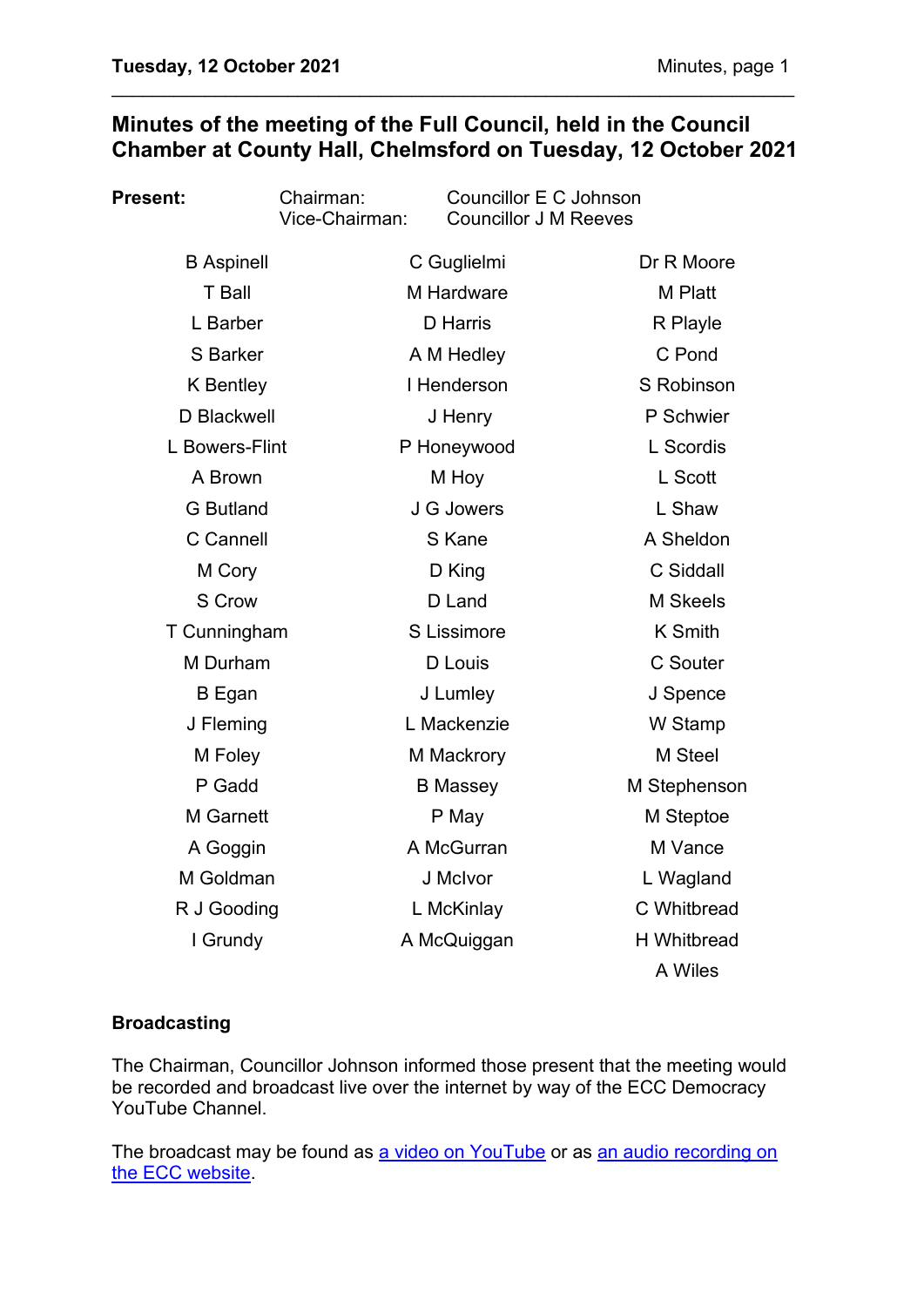# **Minutes of the meeting of the Full Council, held in the Council Chamber at County Hall, Chelmsford on Tuesday, 12 October 2021**

\_\_\_\_\_\_\_\_\_\_\_\_\_\_\_\_\_\_\_\_\_\_\_\_\_\_\_\_\_\_\_\_\_\_\_\_\_\_\_\_\_\_\_\_\_\_\_\_\_\_\_\_\_\_\_\_\_\_\_\_\_\_\_\_\_\_

| Present:          | Chairman:<br>Vice-Chairman: | Councillor E C Johnson<br><b>Councillor J M Reeves</b> |  |                    |
|-------------------|-----------------------------|--------------------------------------------------------|--|--------------------|
| <b>B</b> Aspinell |                             | C Guglielmi                                            |  | Dr R Moore         |
| T Ball            |                             | M Hardware                                             |  | M Platt            |
| L Barber          |                             | <b>D</b> Harris                                        |  | R Playle           |
| S Barker          |                             | A M Hedley                                             |  | C Pond             |
| <b>K</b> Bentley  |                             | I Henderson                                            |  | S Robinson         |
| D Blackwell       |                             | J Henry                                                |  | P Schwier          |
| L Bowers-Flint    |                             | P Honeywood                                            |  | L Scordis          |
| A Brown           |                             | M Hoy                                                  |  | L Scott            |
| <b>G</b> Butland  |                             | J G Jowers                                             |  | L Shaw             |
| C Cannell         |                             | S Kane                                                 |  | A Sheldon          |
| M Cory            |                             | D King                                                 |  | C Siddall          |
| S Crow            |                             | D Land                                                 |  | <b>M</b> Skeels    |
| T Cunningham      |                             | S Lissimore                                            |  | <b>K</b> Smith     |
| M Durham          |                             | D Louis                                                |  | C Souter           |
| <b>B</b> Egan     |                             | J Lumley                                               |  | J Spence           |
| J Fleming         |                             | L Mackenzie                                            |  | W Stamp            |
| M Foley           |                             | M Mackrory                                             |  | M Steel            |
| P Gadd            |                             | <b>B</b> Massey                                        |  | M Stephenson       |
| M Garnett         |                             | P May                                                  |  | M Steptoe          |
| A Goggin          |                             | A McGurran                                             |  | M Vance            |
| M Goldman         |                             | J McIvor                                               |  | L Wagland          |
| R J Gooding       |                             | L McKinlay                                             |  | C Whitbread        |
| I Grundy          |                             | A McQuiggan                                            |  | <b>H</b> Whitbread |
|                   |                             |                                                        |  | A Wiles            |

## **Broadcasting**

The Chairman, Councillor Johnson informed those present that the meeting would be recorded and broadcast live over the internet by way of the ECC Democracy YouTube Channel.

The broadcast may be found as [a video on YouTube](https://www.youtube.com/watch?v=2XA6YcdZT_E) or as an audio recording on [the ECC website.](https://cmis.essex.gov.uk/essexcmis5/CalendarofMeetings/tabid/73/ctl/ViewMeetingPublic/mid/410/Meeting/4414/Committee/50/Default.aspx)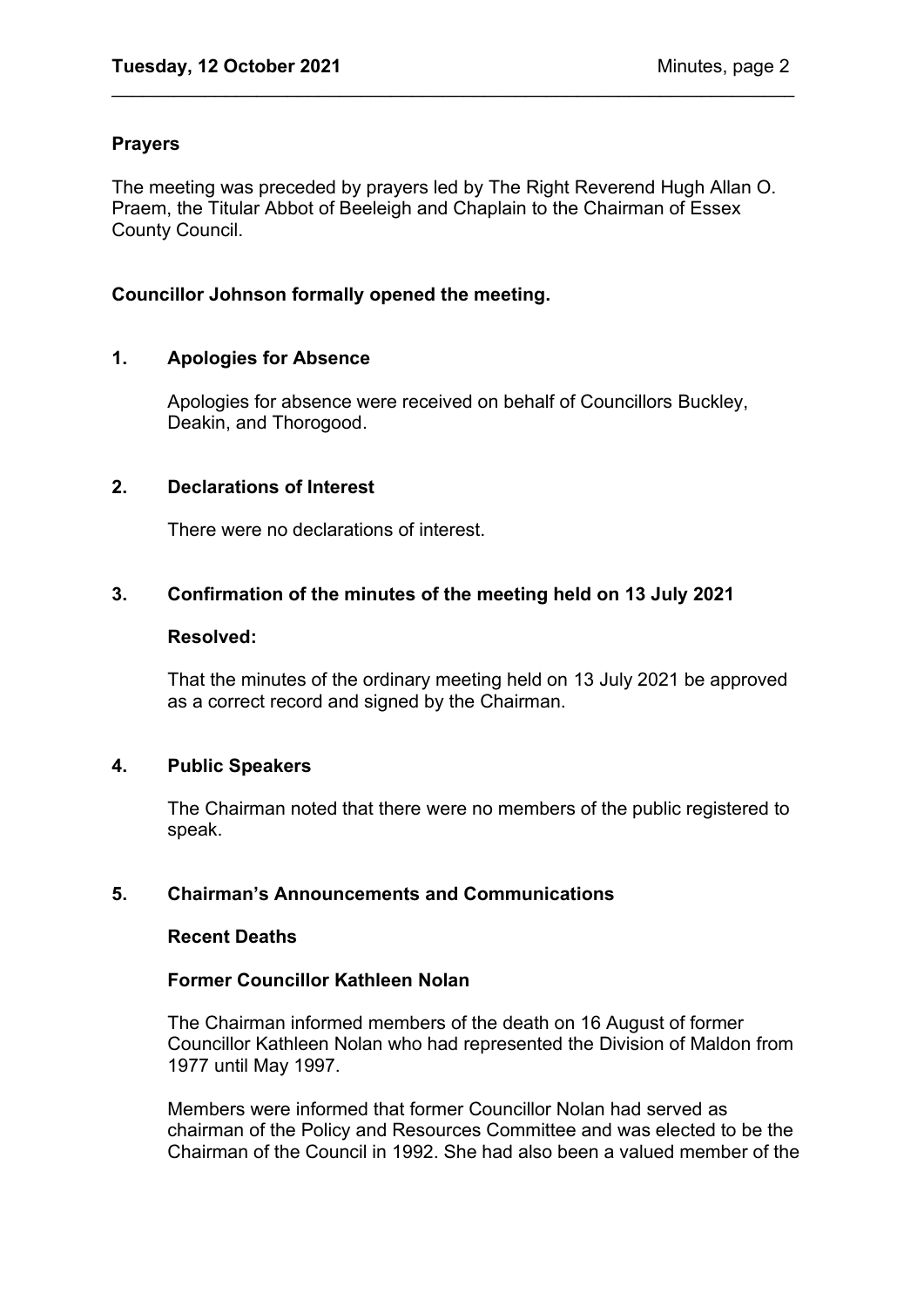#### **Prayers**

The meeting was preceded by prayers led by The Right Reverend Hugh Allan O. Praem, the Titular Abbot of Beeleigh and Chaplain to the Chairman of Essex County Council.

\_\_\_\_\_\_\_\_\_\_\_\_\_\_\_\_\_\_\_\_\_\_\_\_\_\_\_\_\_\_\_\_\_\_\_\_\_\_\_\_\_\_\_\_\_\_\_\_\_\_\_\_\_\_\_\_\_\_\_\_\_\_\_\_\_\_

#### **Councillor Johnson formally opened the meeting.**

## **1. Apologies for Absence**

Apologies for absence were received on behalf of Councillors Buckley, Deakin, and Thorogood.

#### **2. Declarations of Interest**

There were no declarations of interest.

## **3. Confirmation of the minutes of the meeting held on 13 July 2021**

#### **Resolved:**

That the minutes of the ordinary meeting held on 13 July 2021 be approved as a correct record and signed by the Chairman.

#### **4. Public Speakers**

The Chairman noted that there were no members of the public registered to speak.

## **5. Chairman's Announcements and Communications**

#### **Recent Deaths**

## **Former Councillor Kathleen Nolan**

The Chairman informed members of the death on 16 August of former Councillor Kathleen Nolan who had represented the Division of Maldon from 1977 until May 1997.

Members were informed that former Councillor Nolan had served as chairman of the Policy and Resources Committee and was elected to be the Chairman of the Council in 1992. She had also been a valued member of the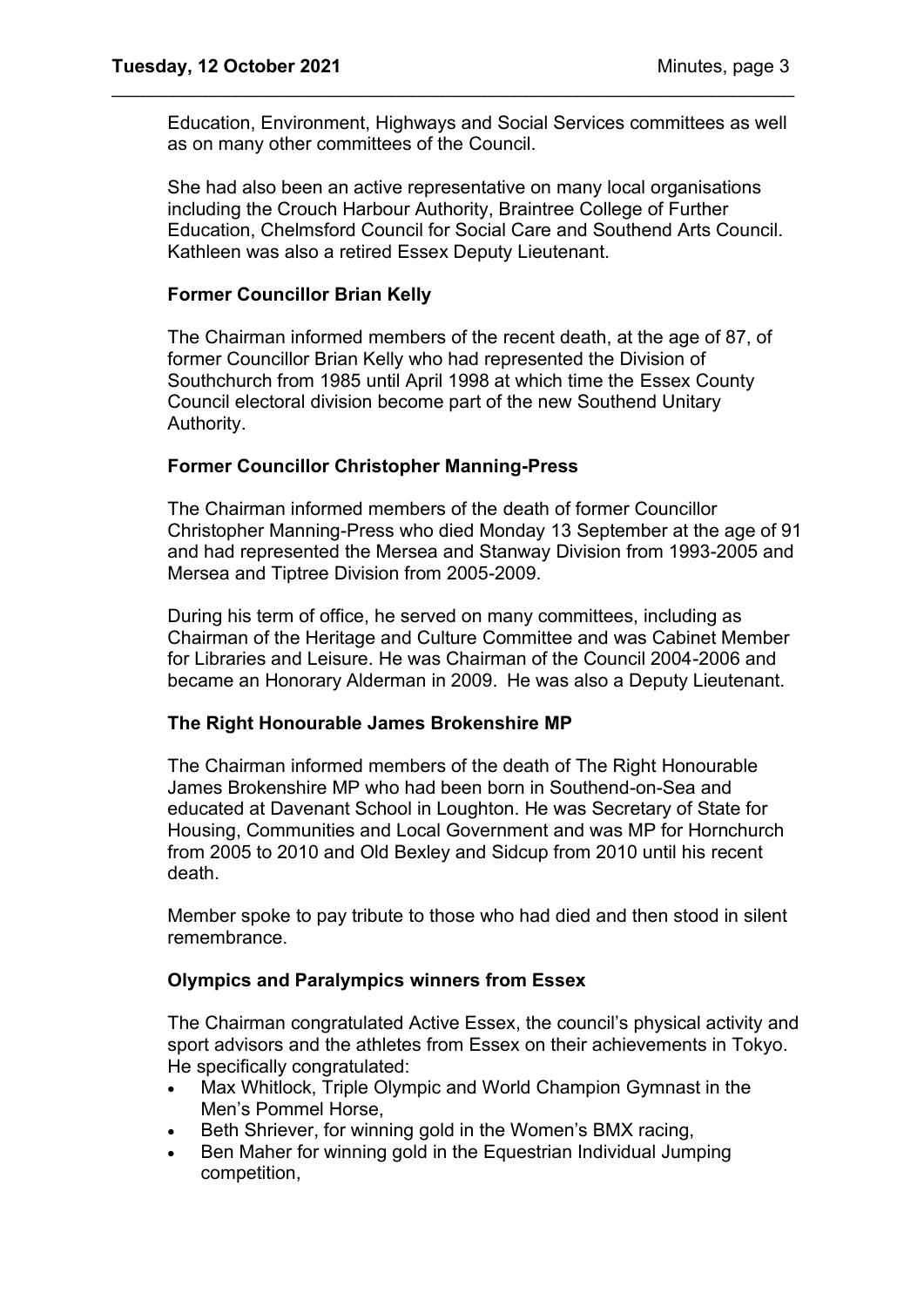Education, Environment, Highways and Social Services committees as well as on many other committees of the Council.

\_\_\_\_\_\_\_\_\_\_\_\_\_\_\_\_\_\_\_\_\_\_\_\_\_\_\_\_\_\_\_\_\_\_\_\_\_\_\_\_\_\_\_\_\_\_\_\_\_\_\_\_\_\_\_\_\_\_\_\_\_\_\_\_\_\_

She had also been an active representative on many local organisations including the Crouch Harbour Authority, Braintree College of Further Education, Chelmsford Council for Social Care and Southend Arts Council. Kathleen was also a retired Essex Deputy Lieutenant.

#### **Former Councillor Brian Kelly**

The Chairman informed members of the recent death, at the age of 87, of former Councillor Brian Kelly who had represented the Division of Southchurch from 1985 until April 1998 at which time the Essex County Council electoral division become part of the new Southend Unitary Authority.

## **Former Councillor Christopher Manning-Press**

The Chairman informed members of the death of former Councillor Christopher Manning-Press who died Monday 13 September at the age of 91 and had represented the Mersea and Stanway Division from 1993-2005 and Mersea and Tiptree Division from 2005-2009. 

During his term of office, he served on many committees, including as Chairman of the Heritage and Culture Committee and was Cabinet Member for Libraries and Leisure. He was Chairman of the Council 2004-2006 and became an Honorary Alderman in 2009.  He was also a Deputy Lieutenant.

## **The Right Honourable James Brokenshire MP**

The Chairman informed members of the death of The Right Honourable James Brokenshire MP who had been born in Southend-on-Sea and educated at Davenant School in Loughton. He was Secretary of State for Housing, Communities and Local Government and was MP for Hornchurch from 2005 to 2010 and Old Bexley and Sidcup from 2010 until his recent death.

Member spoke to pay tribute to those who had died and then stood in silent remembrance.

## **Olympics and Paralympics winners from Essex**

The Chairman congratulated Active Essex, the council's physical activity and sport advisors and the athletes from Essex on their achievements in Tokyo. He specifically congratulated:

- Max Whitlock, Triple Olympic and World Champion Gymnast in the Men's Pommel Horse,
- Beth Shriever, for winning gold in the Women's BMX racing,
- Ben Maher for winning gold in the Equestrian Individual Jumping competition,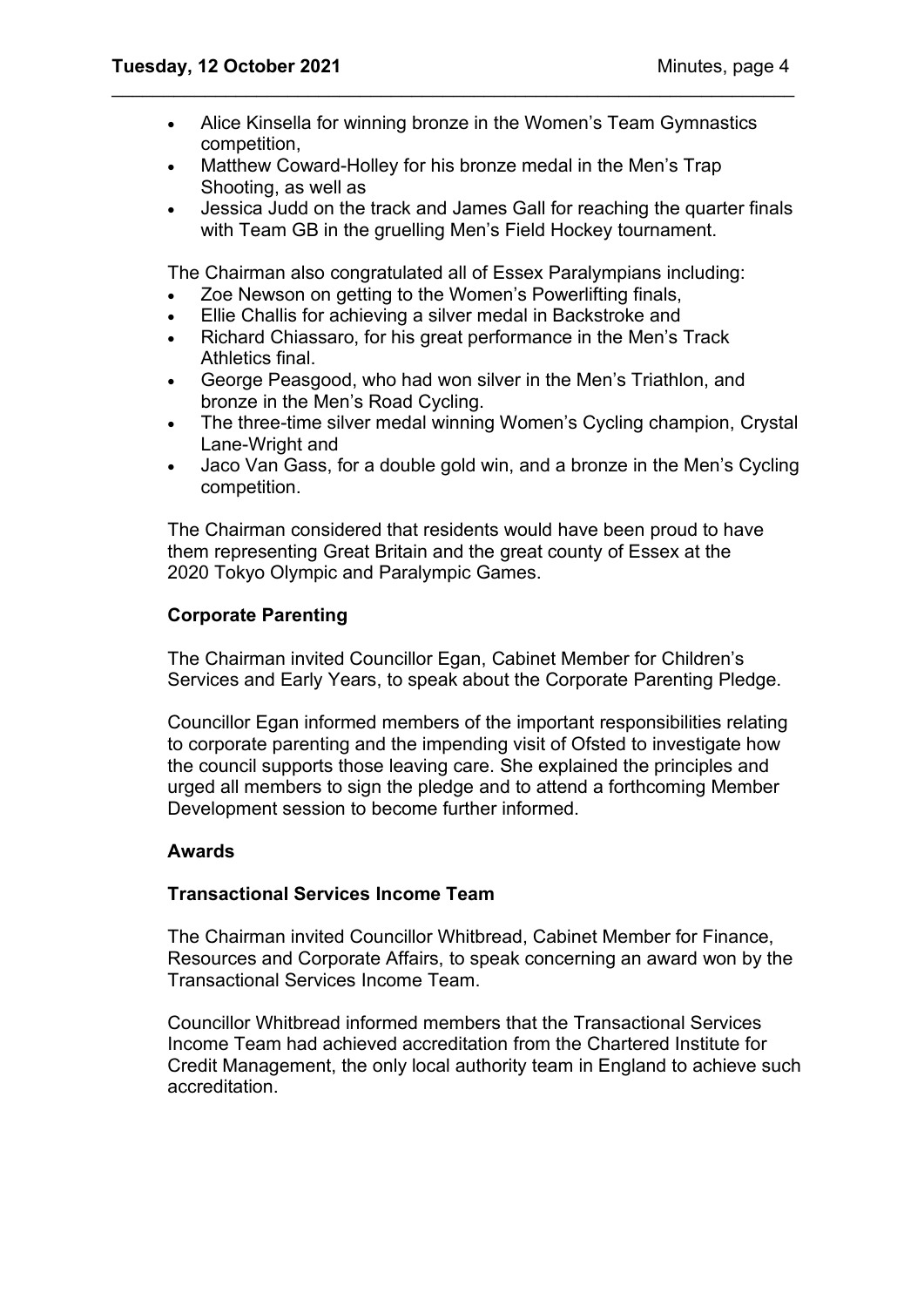• Alice Kinsella for winning bronze in the Women's Team Gymnastics competition,

\_\_\_\_\_\_\_\_\_\_\_\_\_\_\_\_\_\_\_\_\_\_\_\_\_\_\_\_\_\_\_\_\_\_\_\_\_\_\_\_\_\_\_\_\_\_\_\_\_\_\_\_\_\_\_\_\_\_\_\_\_\_\_\_\_\_

- Matthew Coward-Holley for his bronze medal in the Men's Trap Shooting, as well as
- Jessica Judd on the track and James Gall for reaching the quarter finals with Team GB in the gruelling Men's Field Hockey tournament.

The Chairman also congratulated all of Essex Paralympians including:

- Zoe Newson on getting to the Women's Powerlifting finals,
- Ellie Challis for achieving a silver medal in Backstroke and
- Richard Chiassaro, for his great performance in the Men's Track Athletics final.
- George Peasgood, who had won silver in the Men's Triathlon, and bronze in the Men's Road Cycling.
- The three-time silver medal winning Women's Cycling champion, Crystal Lane-Wright and
- Jaco Van Gass, for a double gold win, and a bronze in the Men's Cycling competition.

The Chairman considered that residents would have been proud to have them representing Great Britain and the great county of Essex at the 2020 Tokyo Olympic and Paralympic Games.

## **Corporate Parenting**

The Chairman invited Councillor Egan, Cabinet Member for Children's Services and Early Years, to speak about the Corporate Parenting Pledge.

Councillor Egan informed members of the important responsibilities relating to corporate parenting and the impending visit of Ofsted to investigate how the council supports those leaving care. She explained the principles and urged all members to sign the pledge and to attend a forthcoming Member Development session to become further informed.

## **Awards**

## **Transactional Services Income Team**

The Chairman invited Councillor Whitbread, Cabinet Member for Finance, Resources and Corporate Affairs, to speak concerning an award won by the Transactional Services Income Team.

Councillor Whitbread informed members that the Transactional Services Income Team had achieved accreditation from the Chartered Institute for Credit Management, the only local authority team in England to achieve such accreditation.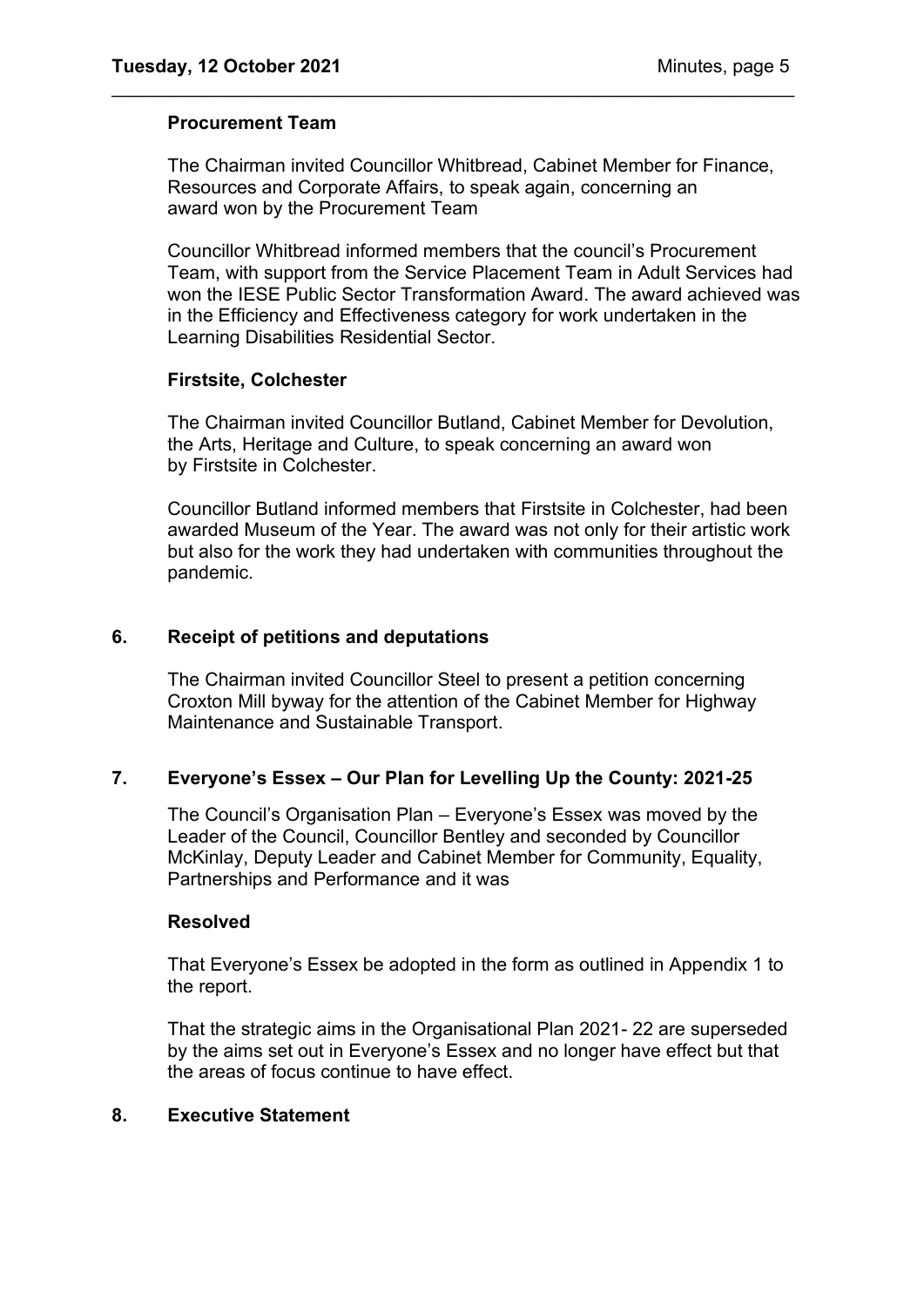#### **Procurement Team**

The Chairman invited Councillor Whitbread, Cabinet Member for Finance, Resources and Corporate Affairs, to speak again, concerning an award won by the Procurement Team

\_\_\_\_\_\_\_\_\_\_\_\_\_\_\_\_\_\_\_\_\_\_\_\_\_\_\_\_\_\_\_\_\_\_\_\_\_\_\_\_\_\_\_\_\_\_\_\_\_\_\_\_\_\_\_\_\_\_\_\_\_\_\_\_\_\_

Councillor Whitbread informed members that the council's Procurement Team, with support from the Service Placement Team in Adult Services had won the IESE Public Sector Transformation Award. The award achieved was in the Efficiency and Effectiveness category for work undertaken in the Learning Disabilities Residential Sector.

#### **Firstsite, Colchester**

The Chairman invited Councillor Butland, Cabinet Member for Devolution, the Arts, Heritage and Culture, to speak concerning an award won by Firstsite in Colchester.

Councillor Butland informed members that Firstsite in Colchester, had been awarded Museum of the Year. The award was not only for their artistic work but also for the work they had undertaken with communities throughout the pandemic.

## **6. Receipt of petitions and deputations**

The Chairman invited Councillor Steel to present a petition concerning Croxton Mill byway for the attention of the Cabinet Member for Highway Maintenance and Sustainable Transport.

## **7. Everyone's Essex – Our Plan for Levelling Up the County: 2021-25**

The Council's Organisation Plan – Everyone's Essex was moved by the Leader of the Council, Councillor Bentley and seconded by Councillor McKinlay, Deputy Leader and Cabinet Member for Community, Equality, Partnerships and Performance and it was

#### **Resolved**

That Everyone's Essex be adopted in the form as outlined in Appendix 1 to the report.

That the strategic aims in the Organisational Plan 2021- 22 are superseded by the aims set out in Everyone's Essex and no longer have effect but that the areas of focus continue to have effect.

#### **8. Executive Statement**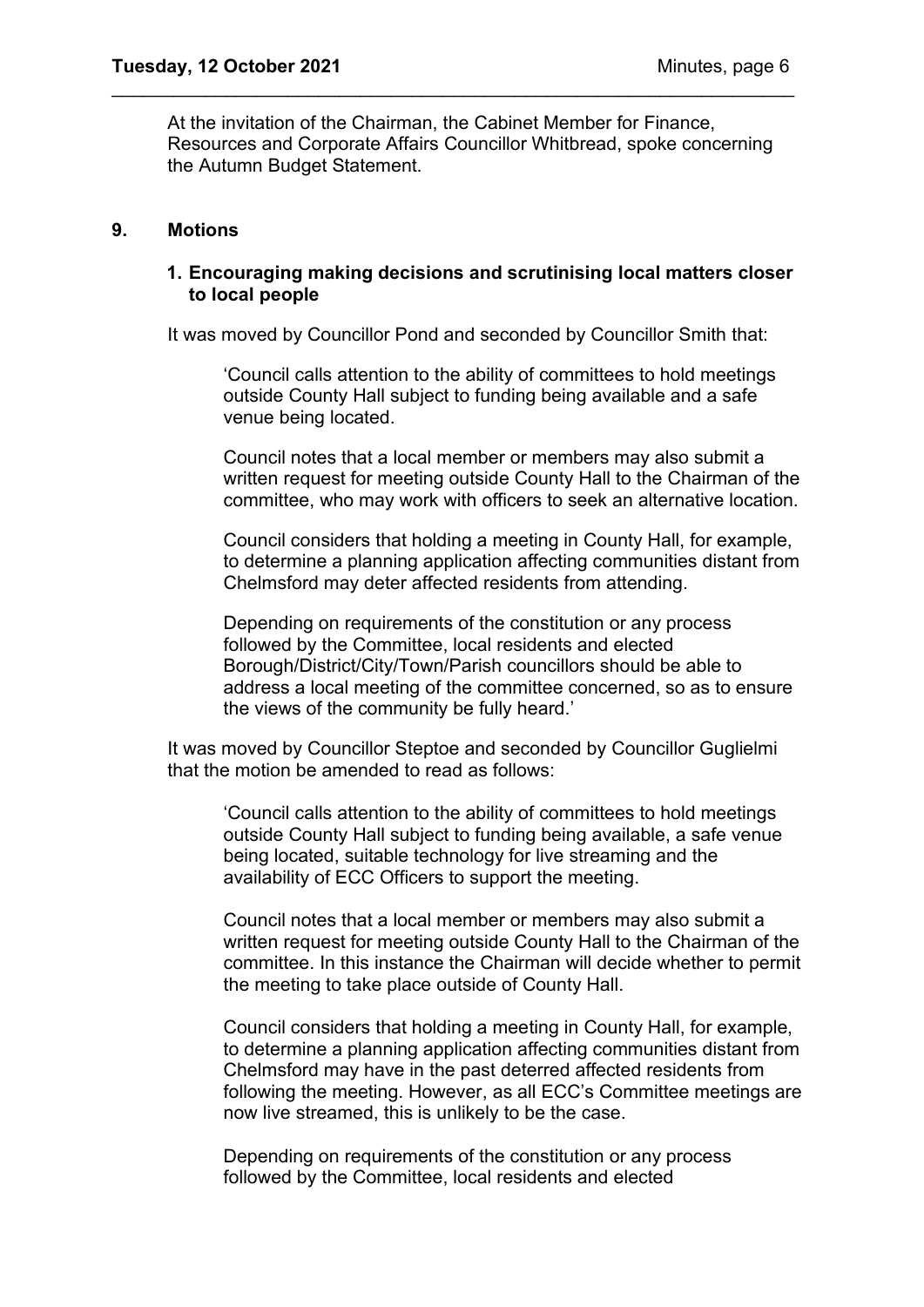At the invitation of the Chairman, the Cabinet Member for Finance, Resources and Corporate Affairs Councillor Whitbread, spoke concerning the Autumn Budget Statement.

\_\_\_\_\_\_\_\_\_\_\_\_\_\_\_\_\_\_\_\_\_\_\_\_\_\_\_\_\_\_\_\_\_\_\_\_\_\_\_\_\_\_\_\_\_\_\_\_\_\_\_\_\_\_\_\_\_\_\_\_\_\_\_\_\_\_

## **9. Motions**

## **1. Encouraging making decisions and scrutinising local matters closer to local people**

It was moved by Councillor Pond and seconded by Councillor Smith that:

'Council calls attention to the ability of committees to hold meetings outside County Hall subject to funding being available and a safe venue being located.

Council notes that a local member or members may also submit a written request for meeting outside County Hall to the Chairman of the committee, who may work with officers to seek an alternative location.

Council considers that holding a meeting in County Hall, for example, to determine a planning application affecting communities distant from Chelmsford may deter affected residents from attending.

Depending on requirements of the constitution or any process followed by the Committee, local residents and elected Borough/District/City/Town/Parish councillors should be able to address a local meeting of the committee concerned, so as to ensure the views of the community be fully heard.'

It was moved by Councillor Steptoe and seconded by Councillor Guglielmi that the motion be amended to read as follows:

'Council calls attention to the ability of committees to hold meetings outside County Hall subject to funding being available, a safe venue being located, suitable technology for live streaming and the availability of ECC Officers to support the meeting.

Council notes that a local member or members may also submit a written request for meeting outside County Hall to the Chairman of the committee. In this instance the Chairman will decide whether to permit the meeting to take place outside of County Hall.

Council considers that holding a meeting in County Hall, for example, to determine a planning application affecting communities distant from Chelmsford may have in the past deterred affected residents from following the meeting. However, as all ECC's Committee meetings are now live streamed, this is unlikely to be the case.

Depending on requirements of the constitution or any process followed by the Committee, local residents and elected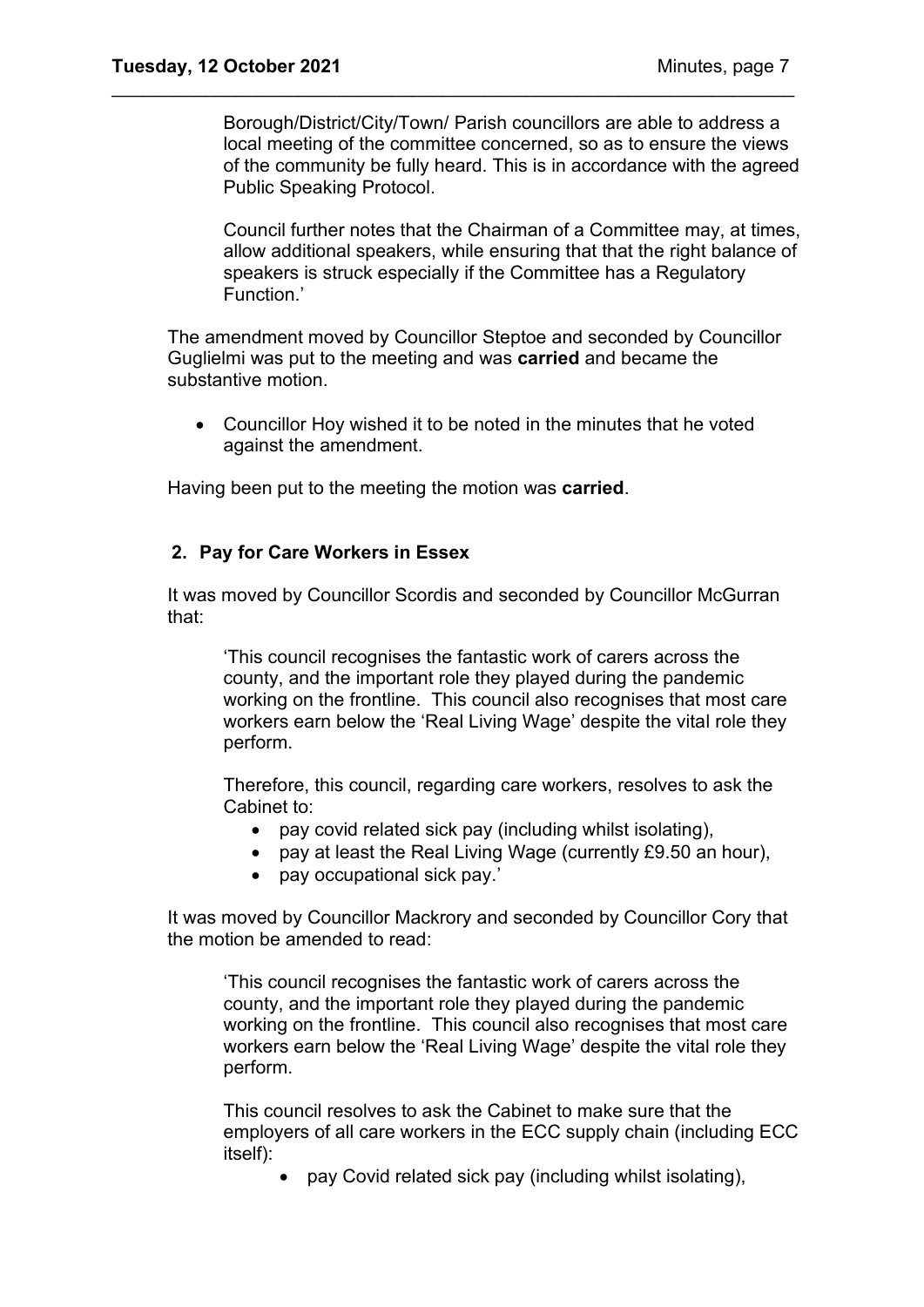Borough/District/City/Town/ Parish councillors are able to address a local meeting of the committee concerned, so as to ensure the views of the community be fully heard. This is in accordance with the agreed Public Speaking Protocol.

\_\_\_\_\_\_\_\_\_\_\_\_\_\_\_\_\_\_\_\_\_\_\_\_\_\_\_\_\_\_\_\_\_\_\_\_\_\_\_\_\_\_\_\_\_\_\_\_\_\_\_\_\_\_\_\_\_\_\_\_\_\_\_\_\_\_

Council further notes that the Chairman of a Committee may, at times, allow additional speakers, while ensuring that that the right balance of speakers is struck especially if the Committee has a Regulatory Function.'

The amendment moved by Councillor Steptoe and seconded by Councillor Guglielmi was put to the meeting and was **carried** and became the substantive motion.

• Councillor Hoy wished it to be noted in the minutes that he voted against the amendment.

Having been put to the meeting the motion was **carried**.

## **2. Pay for Care Workers in Essex**

It was moved by Councillor Scordis and seconded by Councillor McGurran that:

'This council recognises the fantastic work of carers across the county, and the important role they played during the pandemic working on the frontline. This council also recognises that most care workers earn below the 'Real Living Wage' despite the vital role they perform.

Therefore, this council, regarding care workers, resolves to ask the Cabinet to:

- pay covid related sick pay (including whilst isolating),
- pay at least the Real Living Wage (currently £9.50 an hour),
- pay occupational sick pay.'

It was moved by Councillor Mackrory and seconded by Councillor Cory that the motion be amended to read:

'This council recognises the fantastic work of carers across the county, and the important role they played during the pandemic working on the frontline. This council also recognises that most care workers earn below the 'Real Living Wage' despite the vital role they perform.

This council resolves to ask the Cabinet to make sure that the employers of all care workers in the ECC supply chain (including ECC itself):

• pay Covid related sick pay (including whilst isolating),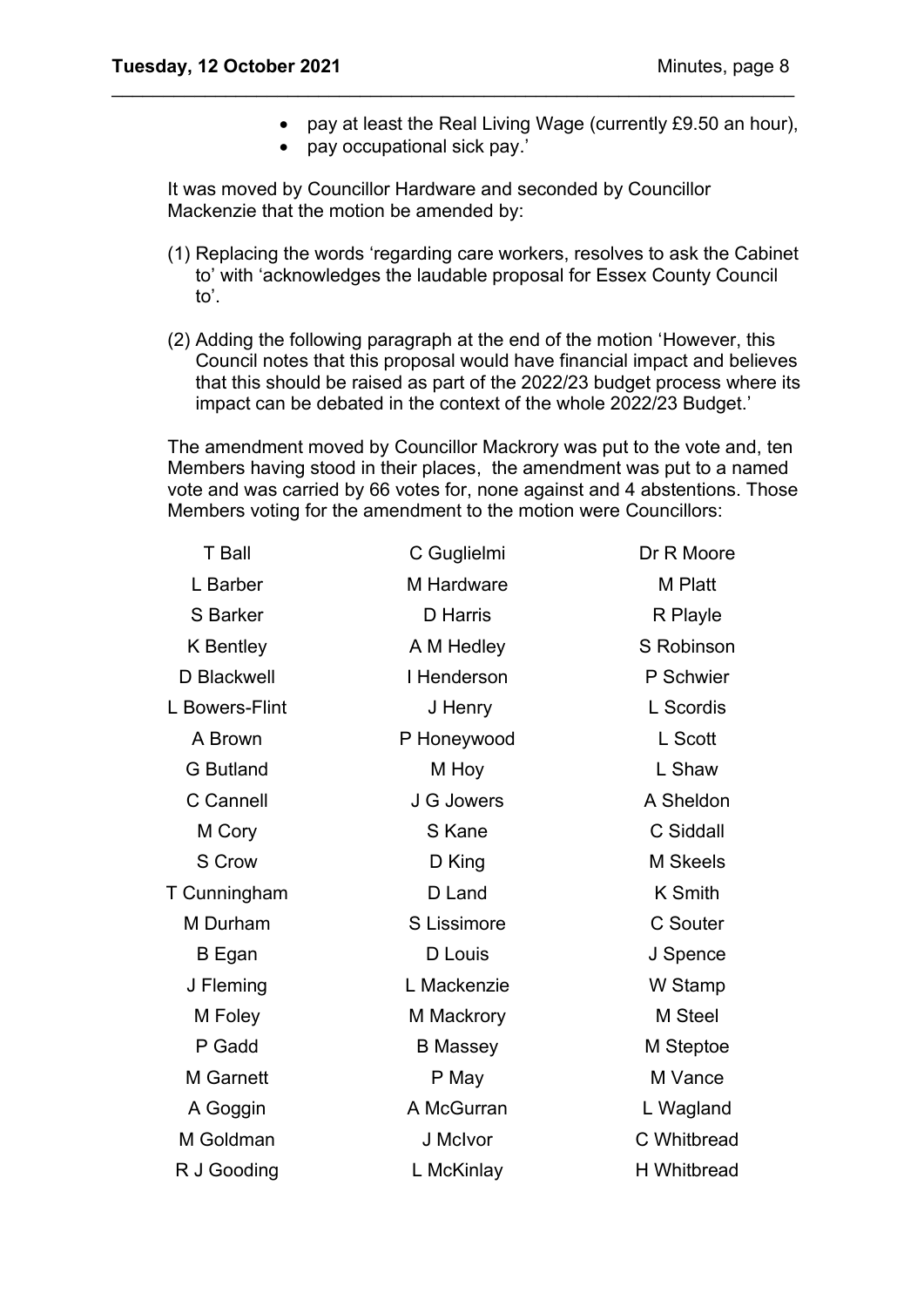- pay at least the Real Living Wage (currently £9.50 an hour),
- pay occupational sick pay.'

It was moved by Councillor Hardware and seconded by Councillor Mackenzie that the motion be amended by:

\_\_\_\_\_\_\_\_\_\_\_\_\_\_\_\_\_\_\_\_\_\_\_\_\_\_\_\_\_\_\_\_\_\_\_\_\_\_\_\_\_\_\_\_\_\_\_\_\_\_\_\_\_\_\_\_\_\_\_\_\_\_\_\_\_\_

- (1) Replacing the words 'regarding care workers, resolves to ask the Cabinet to' with 'acknowledges the laudable proposal for Essex County Council to'.
- (2) Adding the following paragraph at the end of the motion 'However, this Council notes that this proposal would have financial impact and believes that this should be raised as part of the 2022/23 budget process where its impact can be debated in the context of the whole 2022/23 Budget.'

The amendment moved by Councillor Mackrory was put to the vote and, ten Members having stood in their places, the amendment was put to a named vote and was carried by 66 votes for, none against and 4 abstentions. Those Members voting for the amendment to the motion were Councillors:

| <b>T</b> Ball    | C Guglielmi     | Dr R Moore         |
|------------------|-----------------|--------------------|
| L Barber         | M Hardware      | M Platt            |
| <b>S</b> Barker  | <b>D</b> Harris | R Playle           |
| <b>K</b> Bentley | A M Hedley      | S Robinson         |
| D Blackwell      | I Henderson     | P Schwier          |
| L Bowers-Flint   | J Henry         | L Scordis          |
| A Brown          | P Honeywood     | L Scott            |
| <b>G</b> Butland | M Hoy           | L Shaw             |
| C Cannell        | J G Jowers      | A Sheldon          |
| M Cory           | S Kane          | C Siddall          |
| S Crow           | D King          | <b>M</b> Skeels    |
| T Cunningham     | D Land          | <b>K</b> Smith     |
| M Durham         | S Lissimore     | <b>C</b> Souter    |
| B Egan           | D Louis         | J Spence           |
| J Fleming        | L Mackenzie     | W Stamp            |
| M Foley          | M Mackrory      | M Steel            |
| P Gadd           | <b>B</b> Massey | M Steptoe          |
| <b>M</b> Garnett | P May           | M Vance            |
| A Goggin         | A McGurran      | L Wagland          |
| M Goldman        | J McIvor        | C Whitbread        |
| R J Gooding      | L McKinlay      | <b>H</b> Whitbread |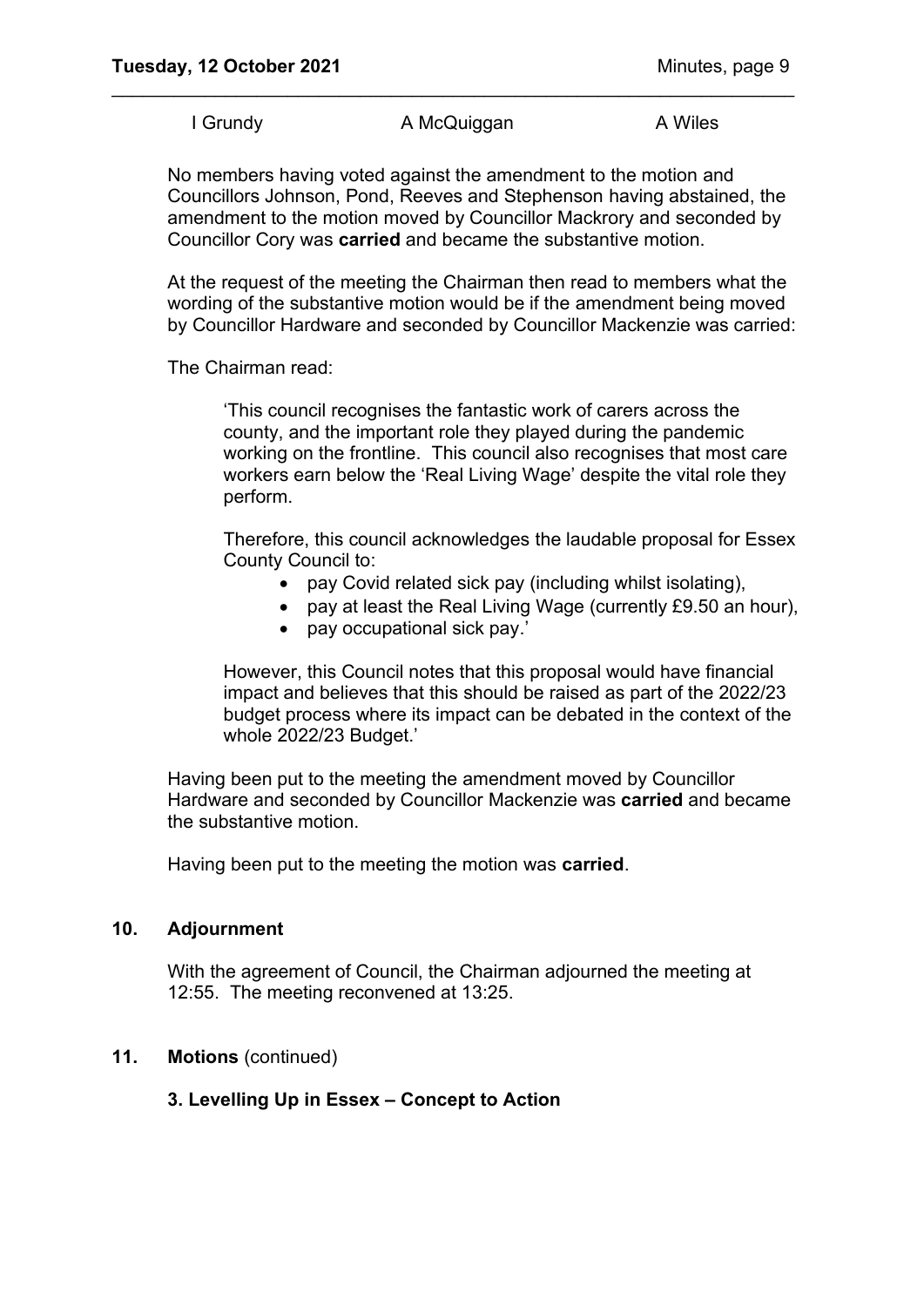I Grundy **A McQuiggan** A Wiles

\_\_\_\_\_\_\_\_\_\_\_\_\_\_\_\_\_\_\_\_\_\_\_\_\_\_\_\_\_\_\_\_\_\_\_\_\_\_\_\_\_\_\_\_\_\_\_\_\_\_\_\_\_\_\_\_\_\_\_\_\_\_\_\_\_\_

No members having voted against the amendment to the motion and Councillors Johnson, Pond, Reeves and Stephenson having abstained, the amendment to the motion moved by Councillor Mackrory and seconded by Councillor Cory was **carried** and became the substantive motion.

At the request of the meeting the Chairman then read to members what the wording of the substantive motion would be if the amendment being moved by Councillor Hardware and seconded by Councillor Mackenzie was carried:

The Chairman read:

'This council recognises the fantastic work of carers across the county, and the important role they played during the pandemic working on the frontline. This council also recognises that most care workers earn below the 'Real Living Wage' despite the vital role they perform.

Therefore, this council acknowledges the laudable proposal for Essex County Council to:

- pay Covid related sick pay (including whilst isolating),
- pay at least the Real Living Wage (currently £9.50 an hour),
- pay occupational sick pay.'

However, this Council notes that this proposal would have financial impact and believes that this should be raised as part of the 2022/23 budget process where its impact can be debated in the context of the whole 2022/23 Budget.'

Having been put to the meeting the amendment moved by Councillor Hardware and seconded by Councillor Mackenzie was **carried** and became the substantive motion.

Having been put to the meeting the motion was **carried**.

#### **10. Adjournment**

With the agreement of Council, the Chairman adjourned the meeting at 12:55. The meeting reconvened at 13:25.

#### **11. Motions** (continued)

## **3. Levelling Up in Essex – Concept to Action**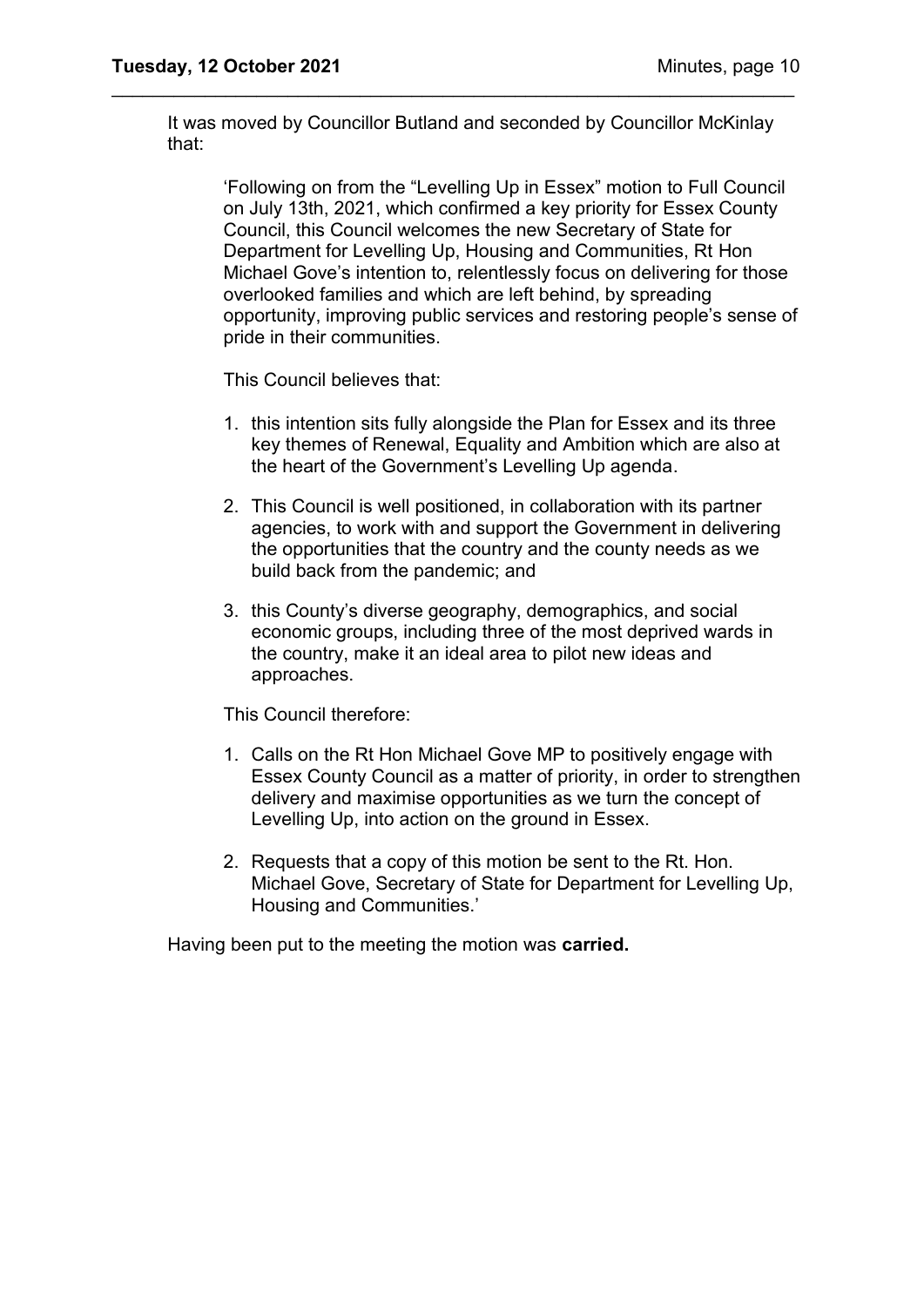It was moved by Councillor Butland and seconded by Councillor McKinlay that:

\_\_\_\_\_\_\_\_\_\_\_\_\_\_\_\_\_\_\_\_\_\_\_\_\_\_\_\_\_\_\_\_\_\_\_\_\_\_\_\_\_\_\_\_\_\_\_\_\_\_\_\_\_\_\_\_\_\_\_\_\_\_\_\_\_\_

'Following on from the "Levelling Up in Essex" motion to Full Council on July 13th, 2021, which confirmed a key priority for Essex County Council, this Council welcomes the new Secretary of State for Department for Levelling Up, Housing and Communities, Rt Hon Michael Gove's intention to, relentlessly focus on delivering for those overlooked families and which are left behind, by spreading opportunity, improving public services and restoring people's sense of pride in their communities.

This Council believes that:

- 1. this intention sits fully alongside the Plan for Essex and its three key themes of Renewal, Equality and Ambition which are also at the heart of the Government's Levelling Up agenda.
- 2. This Council is well positioned, in collaboration with its partner agencies, to work with and support the Government in delivering the opportunities that the country and the county needs as we build back from the pandemic; and
- 3. this County's diverse geography, demographics, and social economic groups, including three of the most deprived wards in the country, make it an ideal area to pilot new ideas and approaches.

This Council therefore:

- 1. Calls on the Rt Hon Michael Gove MP to positively engage with Essex County Council as a matter of priority, in order to strengthen delivery and maximise opportunities as we turn the concept of Levelling Up, into action on the ground in Essex.
- 2. Requests that a copy of this motion be sent to the Rt. Hon. Michael Gove, Secretary of State for Department for Levelling Up, Housing and Communities.'

Having been put to the meeting the motion was **carried.**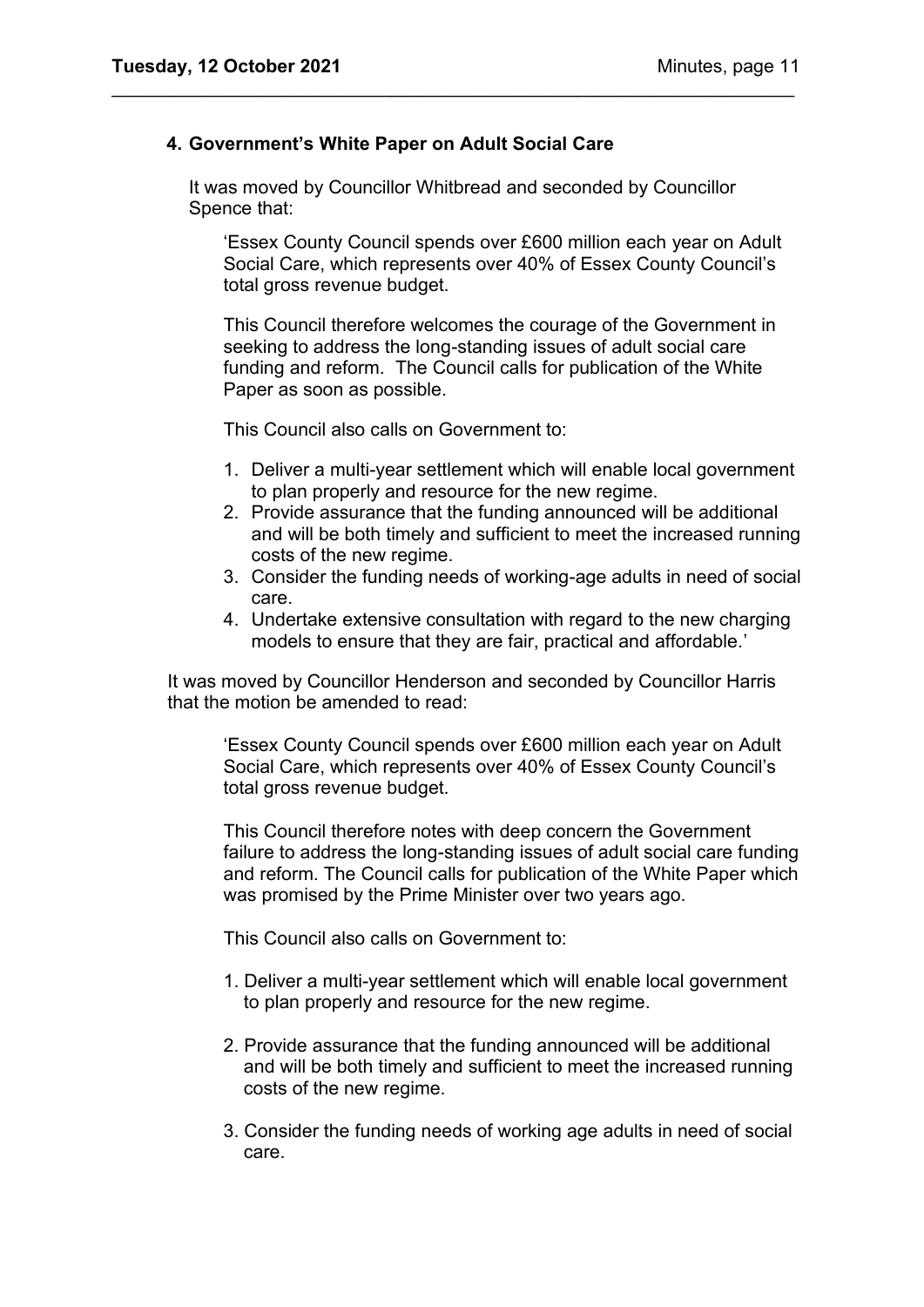## **4. Government's White Paper on Adult Social Care**

It was moved by Councillor Whitbread and seconded by Councillor Spence that:

\_\_\_\_\_\_\_\_\_\_\_\_\_\_\_\_\_\_\_\_\_\_\_\_\_\_\_\_\_\_\_\_\_\_\_\_\_\_\_\_\_\_\_\_\_\_\_\_\_\_\_\_\_\_\_\_\_\_\_\_\_\_\_\_\_\_

'Essex County Council spends over £600 million each year on Adult Social Care, which represents over 40% of Essex County Council's total gross revenue budget.

This Council therefore welcomes the courage of the Government in seeking to address the long-standing issues of adult social care funding and reform. The Council calls for publication of the White Paper as soon as possible.

This Council also calls on Government to:

- 1. Deliver a multi-year settlement which will enable local government to plan properly and resource for the new regime.
- 2. Provide assurance that the funding announced will be additional and will be both timely and sufficient to meet the increased running costs of the new regime.
- 3. Consider the funding needs of working-age adults in need of social care.
- 4. Undertake extensive consultation with regard to the new charging models to ensure that they are fair, practical and affordable.'

It was moved by Councillor Henderson and seconded by Councillor Harris that the motion be amended to read:

'Essex County Council spends over £600 million each year on Adult Social Care, which represents over 40% of Essex County Council's total gross revenue budget.

This Council therefore notes with deep concern the Government failure to address the long-standing issues of adult social care funding and reform. The Council calls for publication of the White Paper which was promised by the Prime Minister over two years ago.

This Council also calls on Government to:

- 1. Deliver a multi-year settlement which will enable local government to plan properly and resource for the new regime.
- 2. Provide assurance that the funding announced will be additional and will be both timely and sufficient to meet the increased running costs of the new regime.
- 3. Consider the funding needs of working age adults in need of social care.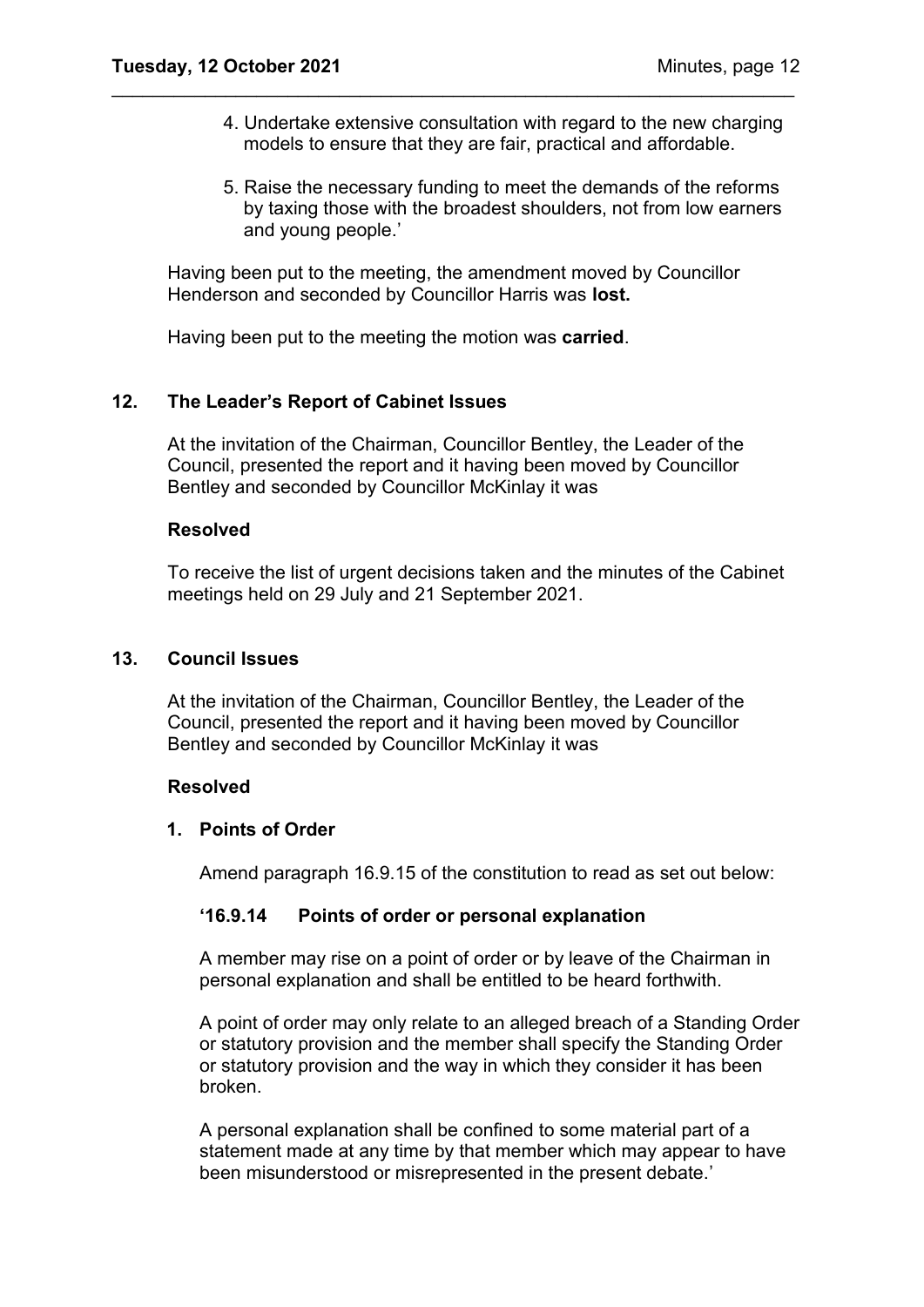- 4. Undertake extensive consultation with regard to the new charging models to ensure that they are fair, practical and affordable.
- 5. Raise the necessary funding to meet the demands of the reforms by taxing those with the broadest shoulders, not from low earners and young people.'

Having been put to the meeting, the amendment moved by Councillor Henderson and seconded by Councillor Harris was **lost.** 

\_\_\_\_\_\_\_\_\_\_\_\_\_\_\_\_\_\_\_\_\_\_\_\_\_\_\_\_\_\_\_\_\_\_\_\_\_\_\_\_\_\_\_\_\_\_\_\_\_\_\_\_\_\_\_\_\_\_\_\_\_\_\_\_\_\_

Having been put to the meeting the motion was **carried**.

## **12. The Leader's Report of Cabinet Issues**

At the invitation of the Chairman, Councillor Bentley, the Leader of the Council, presented the report and it having been moved by Councillor Bentley and seconded by Councillor McKinlay it was

#### **Resolved**

To receive the list of urgent decisions taken and the minutes of the Cabinet meetings held on 29 July and 21 September 2021.

#### **13. Council Issues**

At the invitation of the Chairman, Councillor Bentley, the Leader of the Council, presented the report and it having been moved by Councillor Bentley and seconded by Councillor McKinlay it was

#### **Resolved**

## **1. Points of Order**

Amend paragraph 16.9.15 of the constitution to read as set out below:

## **'16.9.14 Points of order or personal explanation**

A member may rise on a point of order or by leave of the Chairman in personal explanation and shall be entitled to be heard forthwith.

A point of order may only relate to an alleged breach of a Standing Order or statutory provision and the member shall specify the Standing Order or statutory provision and the way in which they consider it has been broken.

A personal explanation shall be confined to some material part of a statement made at any time by that member which may appear to have been misunderstood or misrepresented in the present debate.'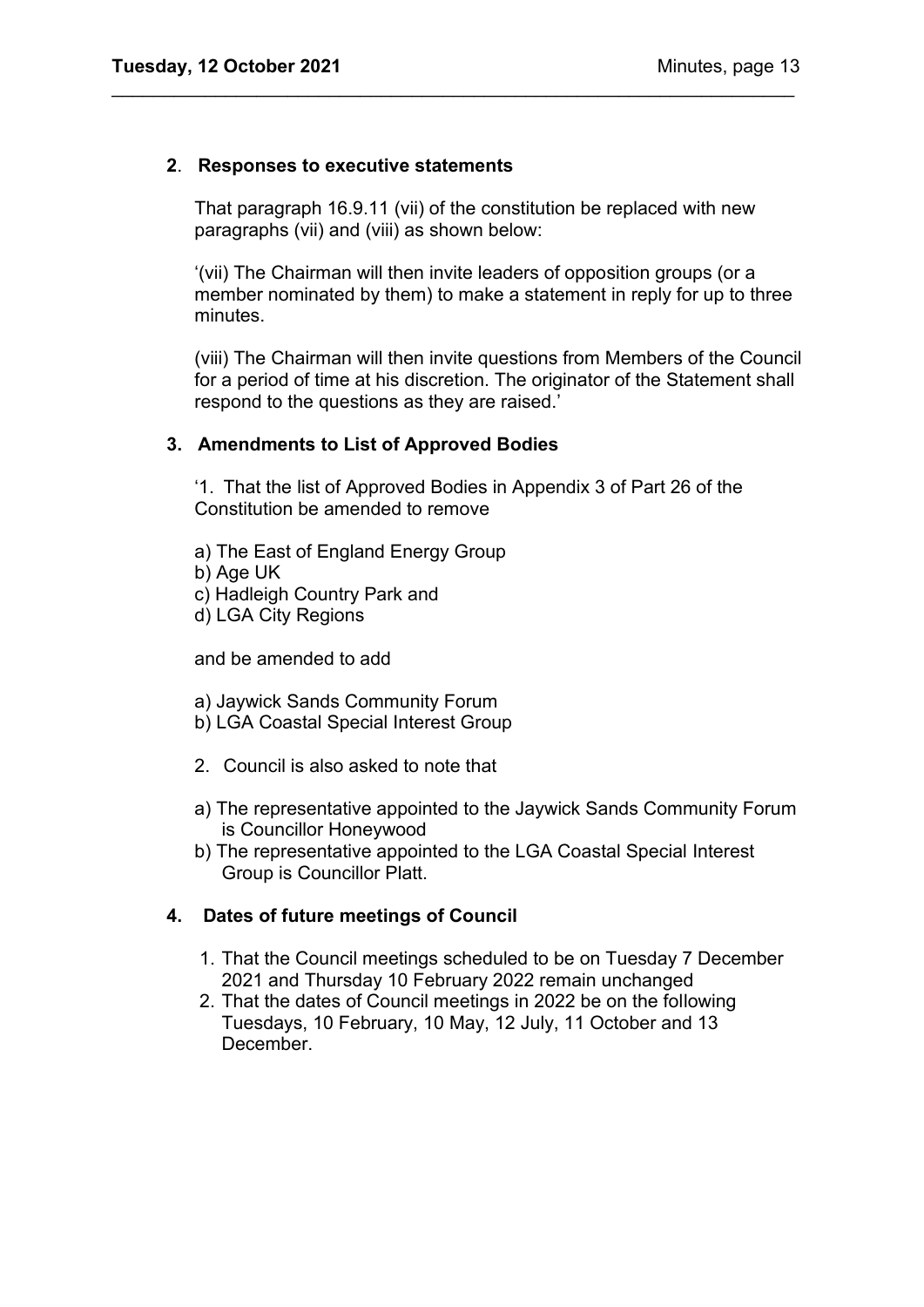## **2**. **Responses to executive statements**

That paragraph 16.9.11 (vii) of the constitution be replaced with new paragraphs (vii) and (viii) as shown below:

\_\_\_\_\_\_\_\_\_\_\_\_\_\_\_\_\_\_\_\_\_\_\_\_\_\_\_\_\_\_\_\_\_\_\_\_\_\_\_\_\_\_\_\_\_\_\_\_\_\_\_\_\_\_\_\_\_\_\_\_\_\_\_\_\_\_

'(vii) The Chairman will then invite leaders of opposition groups (or a member nominated by them) to make a statement in reply for up to three minutes.

(viii) The Chairman will then invite questions from Members of the Council for a period of time at his discretion. The originator of the Statement shall respond to the questions as they are raised.'

#### **3. Amendments to List of Approved Bodies**

'1. That the list of Approved Bodies in Appendix 3 of Part 26 of the Constitution be amended to remove

a) The East of England Energy Group

b) Age UK

c) Hadleigh Country Park and

d) LGA City Regions

and be amended to add

a) Jaywick Sands Community Forum

- b) LGA Coastal Special Interest Group
- 2. Council is also asked to note that
- a) The representative appointed to the Jaywick Sands Community Forum is Councillor Honeywood
- b) The representative appointed to the LGA Coastal Special Interest Group is Councillor Platt.

## **4. Dates of future meetings of Council**

- 1. That the Council meetings scheduled to be on Tuesday 7 December 2021 and Thursday 10 February 2022 remain unchanged
- 2. That the dates of Council meetings in 2022 be on the following Tuesdays, 10 February, 10 May, 12 July, 11 October and 13 December.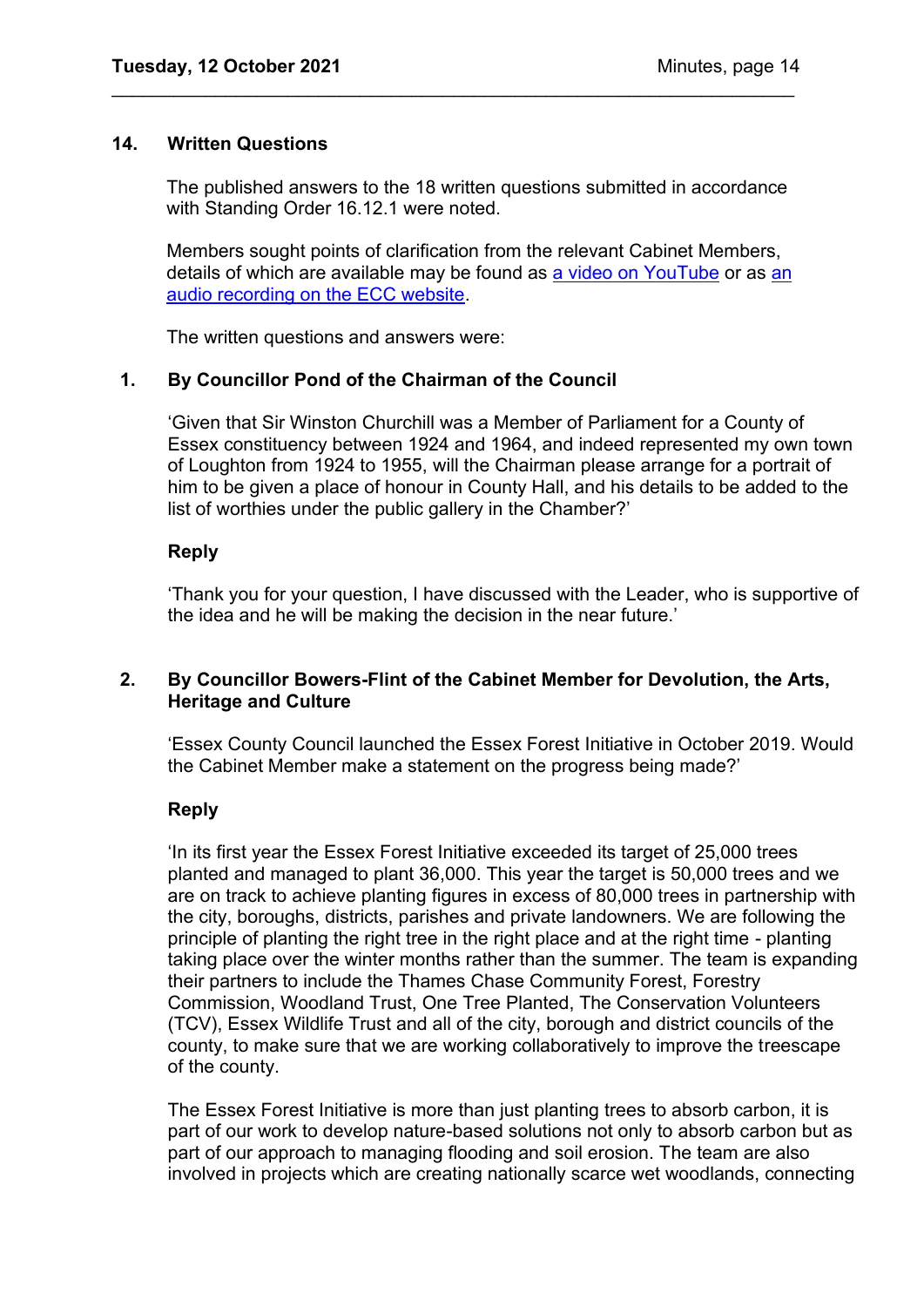#### **14. Written Questions**

The published answers to the 18 written questions submitted in accordance with Standing Order 16.12.1 were noted.

\_\_\_\_\_\_\_\_\_\_\_\_\_\_\_\_\_\_\_\_\_\_\_\_\_\_\_\_\_\_\_\_\_\_\_\_\_\_\_\_\_\_\_\_\_\_\_\_\_\_\_\_\_\_\_\_\_\_\_\_\_\_\_\_\_\_

Members sought points of clarification from the relevant Cabinet Members, details of which are available may be found as [a video on YouTube](https://www.youtube.com/watch?v=2XA6YcdZT_E) or as an [audio recording on the ECC website.](https://cmis.essex.gov.uk/essexcmis5/CalendarofMeetings/tabid/73/ctl/ViewMeetingPublic/mid/410/Meeting/4414/Committee/50/Default.aspx)

The written questions and answers were:

## **1. By Councillor Pond of the Chairman of the Council**

'Given that Sir Winston Churchill was a Member of Parliament for a County of Essex constituency between 1924 and 1964, and indeed represented my own town of Loughton from 1924 to 1955, will the Chairman please arrange for a portrait of him to be given a place of honour in County Hall, and his details to be added to the list of worthies under the public gallery in the Chamber?'

## **Reply**

'Thank you for your question, I have discussed with the Leader, who is supportive of the idea and he will be making the decision in the near future.'

## **2. By Councillor Bowers-Flint of the Cabinet Member for Devolution, the Arts, Heritage and Culture**

'Essex County Council launched the Essex Forest Initiative in October 2019. Would the Cabinet Member make a statement on the progress being made?'

## **Reply**

'In its first year the Essex Forest Initiative exceeded its target of 25,000 trees planted and managed to plant 36,000. This year the target is 50,000 trees and we are on track to achieve planting figures in excess of 80,000 trees in partnership with the city, boroughs, districts, parishes and private landowners. We are following the principle of planting the right tree in the right place and at the right time - planting taking place over the winter months rather than the summer. The team is expanding their partners to include the Thames Chase Community Forest, Forestry Commission, Woodland Trust, One Tree Planted, The Conservation Volunteers (TCV), Essex Wildlife Trust and all of the city, borough and district councils of the county, to make sure that we are working collaboratively to improve the treescape of the county.

The Essex Forest Initiative is more than just planting trees to absorb carbon, it is part of our work to develop nature-based solutions not only to absorb carbon but as part of our approach to managing flooding and soil erosion. The team are also involved in projects which are creating nationally scarce wet woodlands, connecting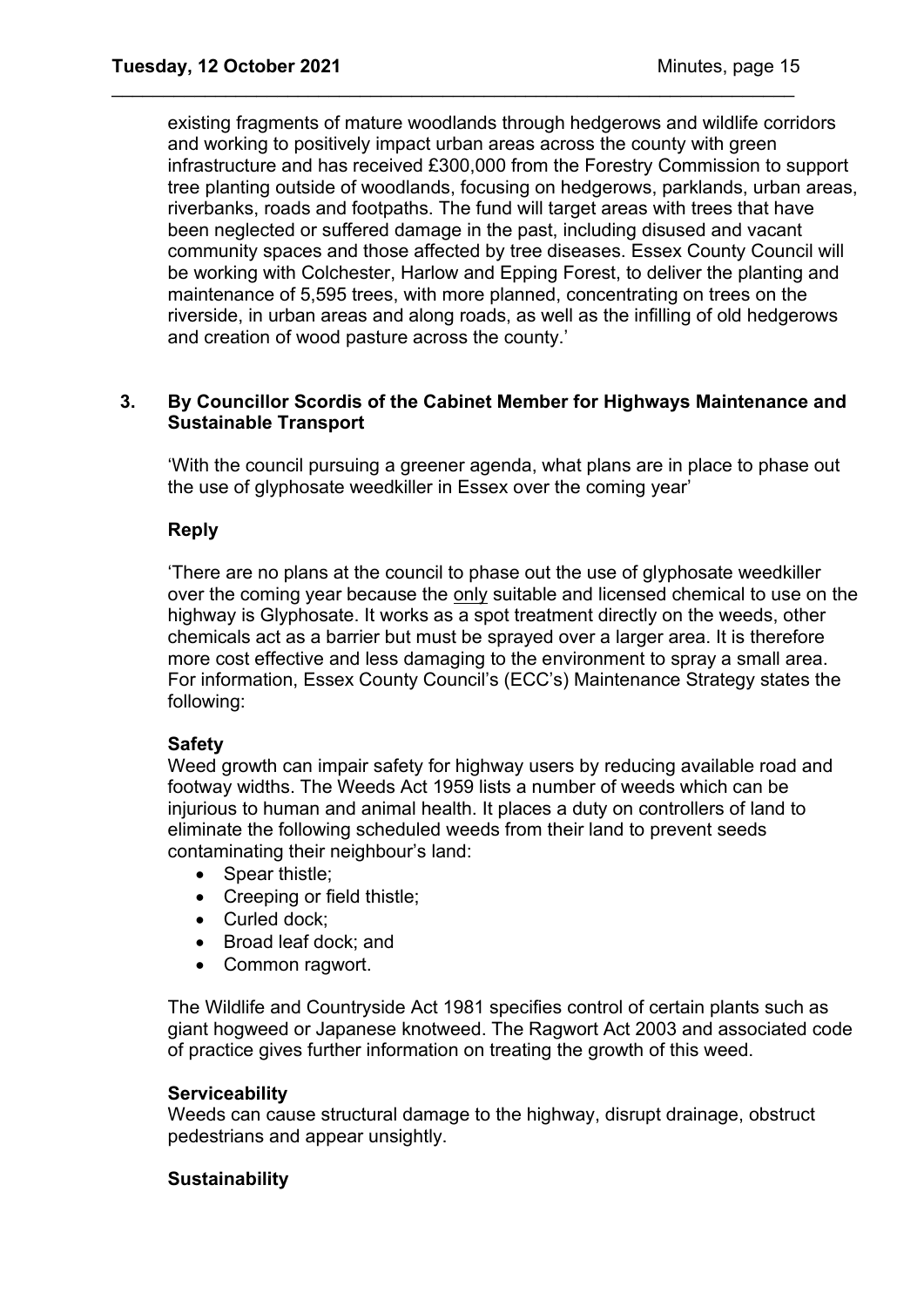existing fragments of mature woodlands through hedgerows and wildlife corridors and working to positively impact urban areas across the county with green infrastructure and has received £300,000 from the Forestry Commission to support tree planting outside of woodlands, focusing on hedgerows, parklands, urban areas, riverbanks, roads and footpaths. The fund will target areas with trees that have been neglected or suffered damage in the past, including disused and vacant community spaces and those affected by tree diseases. Essex County Council will be working with Colchester, Harlow and Epping Forest, to deliver the planting and maintenance of 5,595 trees, with more planned, concentrating on trees on the riverside, in urban areas and along roads, as well as the infilling of old hedgerows and creation of wood pasture across the county.'

\_\_\_\_\_\_\_\_\_\_\_\_\_\_\_\_\_\_\_\_\_\_\_\_\_\_\_\_\_\_\_\_\_\_\_\_\_\_\_\_\_\_\_\_\_\_\_\_\_\_\_\_\_\_\_\_\_\_\_\_\_\_\_\_\_\_

## **3. By Councillor Scordis of the Cabinet Member for Highways Maintenance and Sustainable Transport**

'With the council pursuing a greener agenda, what plans are in place to phase out the use of glyphosate weedkiller in Essex over the coming year'

## **Reply**

'There are no plans at the council to phase out the use of glyphosate weedkiller over the coming year because the only suitable and licensed chemical to use on the highway is Glyphosate. It works as a spot treatment directly on the weeds, other chemicals act as a barrier but must be sprayed over a larger area. It is therefore more cost effective and less damaging to the environment to spray a small area. For information, Essex County Council's (ECC's) Maintenance Strategy states the following:

## **Safety**

Weed growth can impair safety for highway users by reducing available road and footway widths. The Weeds Act 1959 lists a number of weeds which can be injurious to human and animal health. It places a duty on controllers of land to eliminate the following scheduled weeds from their land to prevent seeds contaminating their neighbour's land:

- Spear thistle;
- Creeping or field thistle;
- Curled dock;
- Broad leaf dock; and
- Common ragwort.

The Wildlife and Countryside Act 1981 specifies control of certain plants such as giant hogweed or Japanese knotweed. The Ragwort Act 2003 and associated code of practice gives further information on treating the growth of this weed.

## **Serviceability**

Weeds can cause structural damage to the highway, disrupt drainage, obstruct pedestrians and appear unsightly.

## **Sustainability**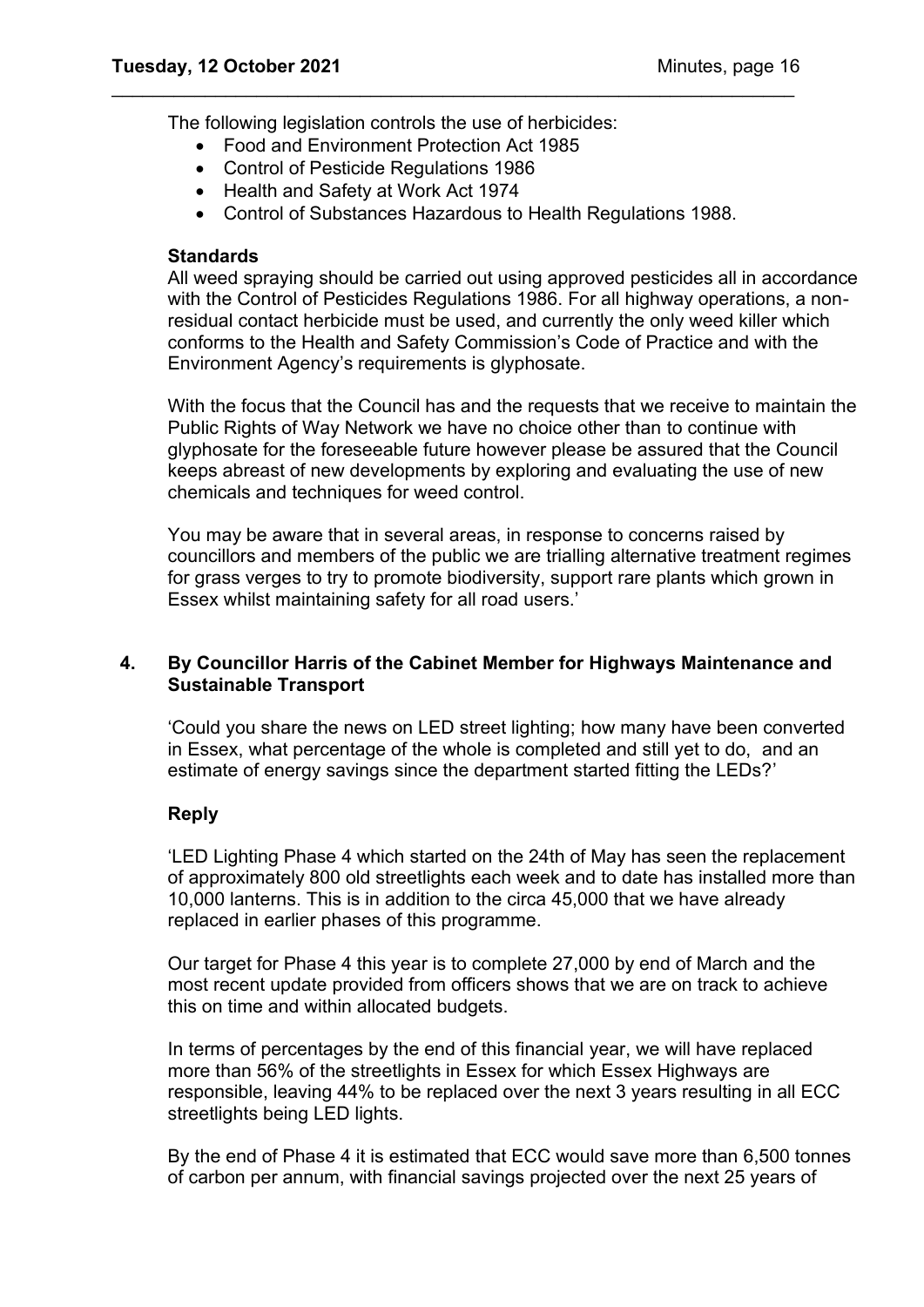The following legislation controls the use of herbicides:

- Food and Environment Protection Act 1985
- Control of Pesticide Regulations 1986
- Health and Safety at Work Act 1974
- Control of Substances Hazardous to Health Regulations 1988.

\_\_\_\_\_\_\_\_\_\_\_\_\_\_\_\_\_\_\_\_\_\_\_\_\_\_\_\_\_\_\_\_\_\_\_\_\_\_\_\_\_\_\_\_\_\_\_\_\_\_\_\_\_\_\_\_\_\_\_\_\_\_\_\_\_\_

## **Standards**

All weed spraying should be carried out using approved pesticides all in accordance with the Control of Pesticides Regulations 1986. For all highway operations, a nonresidual contact herbicide must be used, and currently the only weed killer which conforms to the Health and Safety Commission's Code of Practice and with the Environment Agency's requirements is glyphosate.

With the focus that the Council has and the requests that we receive to maintain the Public Rights of Way Network we have no choice other than to continue with glyphosate for the foreseeable future however please be assured that the Council keeps abreast of new developments by exploring and evaluating the use of new chemicals and techniques for weed control.

You may be aware that in several areas, in response to concerns raised by councillors and members of the public we are trialling alternative treatment regimes for grass verges to try to promote biodiversity, support rare plants which grown in Essex whilst maintaining safety for all road users.'

## **4. By Councillor Harris of the Cabinet Member for Highways Maintenance and Sustainable Transport**

'Could you share the news on LED street lighting; how many have been converted in Essex, what percentage of the whole is completed and still yet to do, and an estimate of energy savings since the department started fitting the LEDs?'

## **Reply**

'LED Lighting Phase 4 which started on the 24th of May has seen the replacement of approximately 800 old streetlights each week and to date has installed more than 10,000 lanterns. This is in addition to the circa 45,000 that we have already replaced in earlier phases of this programme.

Our target for Phase 4 this year is to complete 27,000 by end of March and the most recent update provided from officers shows that we are on track to achieve this on time and within allocated budgets.

In terms of percentages by the end of this financial year, we will have replaced more than 56% of the streetlights in Essex for which Essex Highways are responsible, leaving 44% to be replaced over the next 3 years resulting in all ECC streetlights being LED lights.

By the end of Phase 4 it is estimated that ECC would save more than 6,500 tonnes of carbon per annum, with financial savings projected over the next 25 years of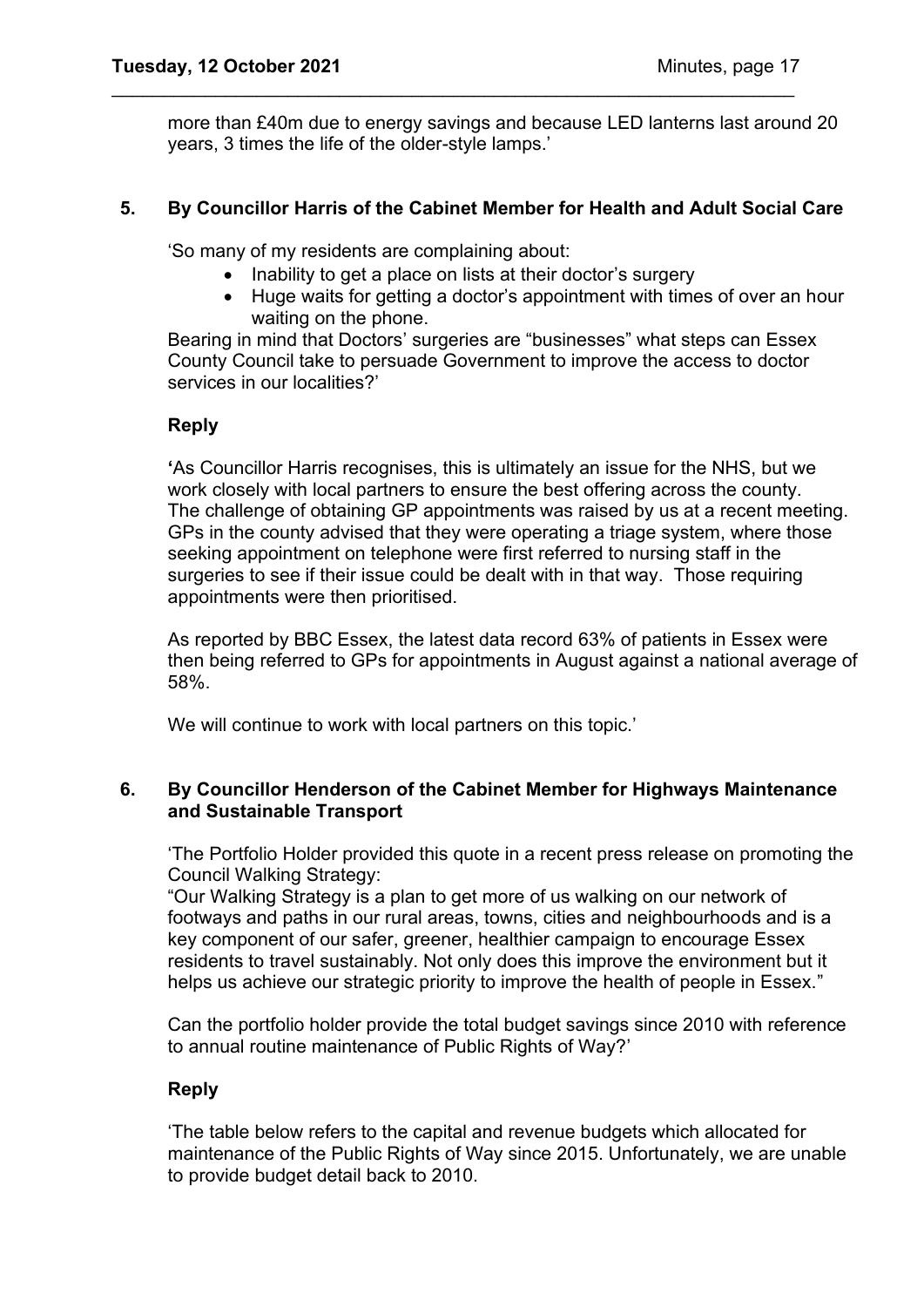more than £40m due to energy savings and because LED lanterns last around 20 years, 3 times the life of the older-style lamps.'

## **5. By Councillor Harris of the Cabinet Member for Health and Adult Social Care**

'So many of my residents are complaining about:

• Inability to get a place on lists at their doctor's surgery

\_\_\_\_\_\_\_\_\_\_\_\_\_\_\_\_\_\_\_\_\_\_\_\_\_\_\_\_\_\_\_\_\_\_\_\_\_\_\_\_\_\_\_\_\_\_\_\_\_\_\_\_\_\_\_\_\_\_\_\_\_\_\_\_\_\_

• Huge waits for getting a doctor's appointment with times of over an hour waiting on the phone.

Bearing in mind that Doctors' surgeries are "businesses" what steps can Essex County Council take to persuade Government to improve the access to doctor services in our localities?'

## **Reply**

**'**As Councillor Harris recognises, this is ultimately an issue for the NHS, but we work closely with local partners to ensure the best offering across the county. The challenge of obtaining GP appointments was raised by us at a recent meeting. GPs in the county advised that they were operating a triage system, where those seeking appointment on telephone were first referred to nursing staff in the surgeries to see if their issue could be dealt with in that way. Those requiring appointments were then prioritised.

As reported by BBC Essex, the latest data record 63% of patients in Essex were then being referred to GPs for appointments in August against a national average of 58%.

We will continue to work with local partners on this topic.'

## **6. By Councillor Henderson of the Cabinet Member for Highways Maintenance and Sustainable Transport**

'The Portfolio Holder provided this quote in a recent press release on promoting the Council Walking Strategy:

"Our Walking Strategy is a plan to get more of us walking on our network of footways and paths in our rural areas, towns, cities and neighbourhoods and is a key component of our safer, greener, healthier campaign to encourage Essex residents to travel sustainably. Not only does this improve the environment but it helps us achieve our strategic priority to improve the health of people in Essex."

Can the portfolio holder provide the total budget savings since 2010 with reference to annual routine maintenance of Public Rights of Way?'

## **Reply**

'The table below refers to the capital and revenue budgets which allocated for maintenance of the Public Rights of Way since 2015. Unfortunately, we are unable to provide budget detail back to 2010.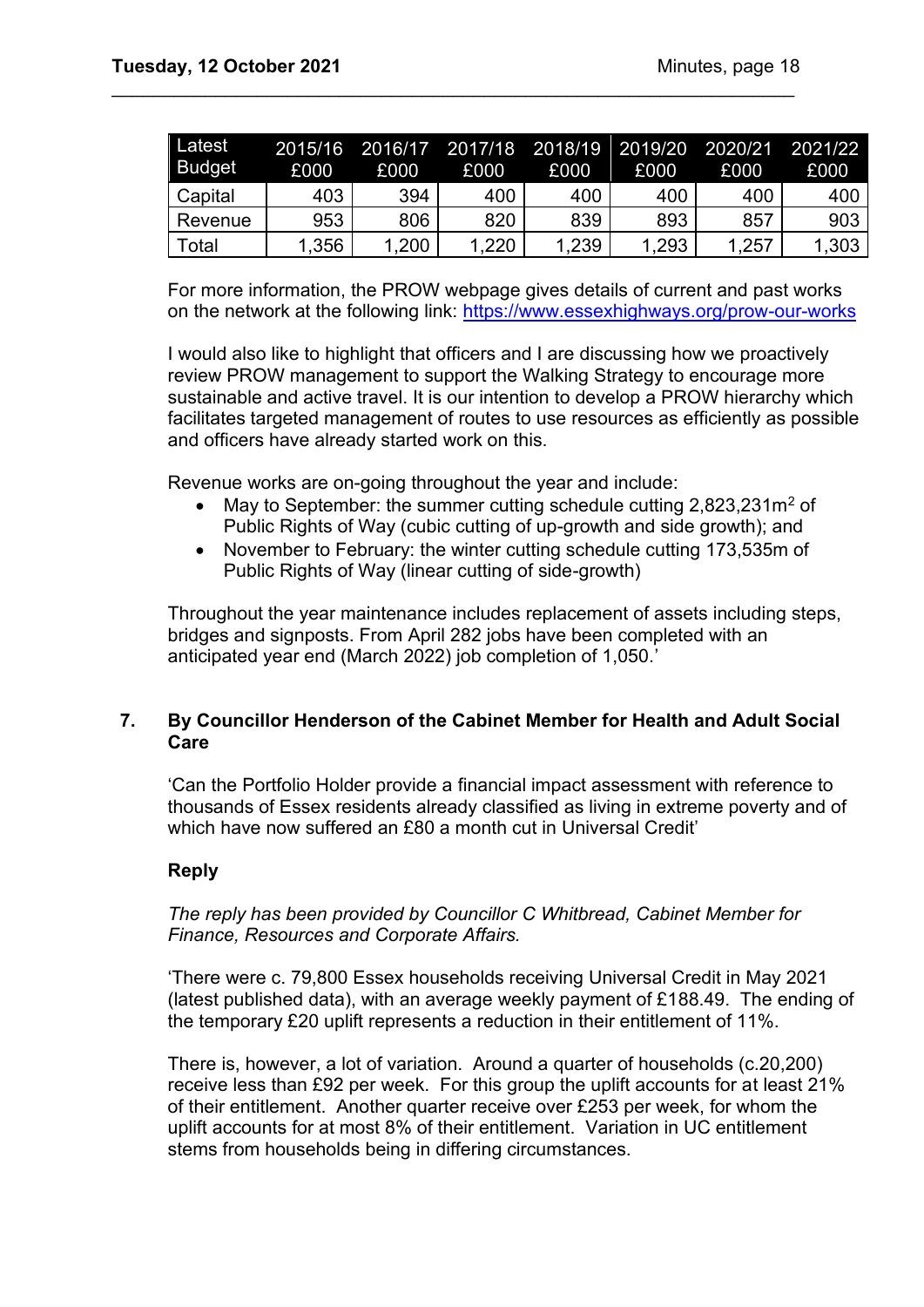| Latest<br><b>Budget</b> | 2015/16<br>£000 | £000  | 2016/17 2017/18 2018/19 2019/20 2020/21<br>£000 | £000  | £000  | £000  | 2021/22<br>£000 |
|-------------------------|-----------------|-------|-------------------------------------------------|-------|-------|-------|-----------------|
| Capital                 | 403             | 394   | 400                                             | 400   | 400   | 400   | 400             |
| Revenue                 | 953             | 806   | 820                                             | 839   | 893   | 857   | 903             |
| Total                   | 1,356           | 1,200 | .220                                            | 1,239 | 1,293 | 1,257 | 1,303           |

\_\_\_\_\_\_\_\_\_\_\_\_\_\_\_\_\_\_\_\_\_\_\_\_\_\_\_\_\_\_\_\_\_\_\_\_\_\_\_\_\_\_\_\_\_\_\_\_\_\_\_\_\_\_\_\_\_\_\_\_\_\_\_\_\_\_

For more information, the PROW webpage gives details of current and past works on the network at the following link:<https://www.essexhighways.org/prow-our-works>

I would also like to highlight that officers and I are discussing how we proactively review PROW management to support the Walking Strategy to encourage more sustainable and active travel. It is our intention to develop a PROW hierarchy which facilitates targeted management of routes to use resources as efficiently as possible and officers have already started work on this.

Revenue works are on-going throughout the year and include:

- May to September: the summer cutting schedule cutting  $2,823,231m^2$  of Public Rights of Way (cubic cutting of up-growth and side growth); and
- November to February: the winter cutting schedule cutting 173,535m of Public Rights of Way (linear cutting of side-growth)

Throughout the year maintenance includes replacement of assets including steps, bridges and signposts. From April 282 jobs have been completed with an anticipated year end (March 2022) job completion of 1,050.'

## **7. By Councillor Henderson of the Cabinet Member for Health and Adult Social Care**

'Can the Portfolio Holder provide a financial impact assessment with reference to thousands of Essex residents already classified as living in extreme poverty and of which have now suffered an £80 a month cut in Universal Credit'

## **Reply**

*The reply has been provided by Councillor C Whitbread, Cabinet Member for Finance, Resources and Corporate Affairs.* 

'There were c. 79,800 Essex households receiving Universal Credit in May 2021 (latest published data), with an average weekly payment of £188.49. The ending of the temporary £20 uplift represents a reduction in their entitlement of 11%.

There is, however, a lot of variation. Around a quarter of households (c.20,200) receive less than £92 per week. For this group the uplift accounts for at least 21% of their entitlement. Another quarter receive over £253 per week, for whom the uplift accounts for at most 8% of their entitlement. Variation in UC entitlement stems from households being in differing circumstances.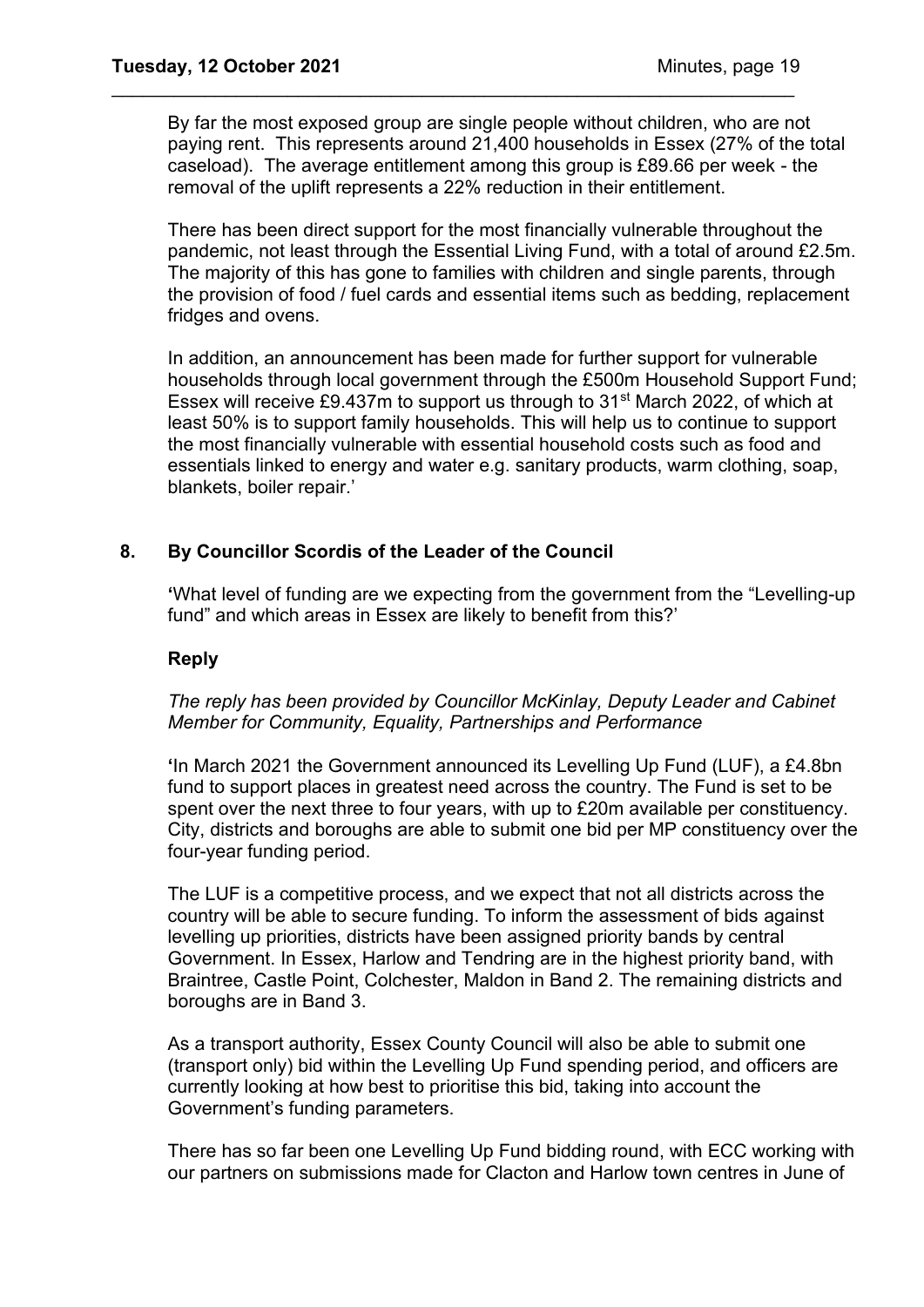By far the most exposed group are single people without children, who are not paying rent. This represents around 21,400 households in Essex (27% of the total caseload). The average entitlement among this group is £89.66 per week - the removal of the uplift represents a 22% reduction in their entitlement.

\_\_\_\_\_\_\_\_\_\_\_\_\_\_\_\_\_\_\_\_\_\_\_\_\_\_\_\_\_\_\_\_\_\_\_\_\_\_\_\_\_\_\_\_\_\_\_\_\_\_\_\_\_\_\_\_\_\_\_\_\_\_\_\_\_\_

There has been direct support for the most financially vulnerable throughout the pandemic, not least through the Essential Living Fund, with a total of around £2.5m. The majority of this has gone to families with children and single parents, through the provision of food / fuel cards and essential items such as bedding, replacement fridges and ovens.

In addition, an announcement has been made for further support for vulnerable households through local government through the £500m Household Support Fund; Essex will receive £9.437m to support us through to 31st March 2022, of which at least 50% is to support family households. This will help us to continue to support the most financially vulnerable with essential household costs such as food and essentials linked to energy and water e.g. sanitary products, warm clothing, soap, blankets, boiler repair.'

## **8. By Councillor Scordis of the Leader of the Council**

**'**What level of funding are we expecting from the government from the "Levelling-up fund" and which areas in Essex are likely to benefit from this?'

## **Reply**

## *The reply has been provided by Councillor McKinlay, Deputy Leader and Cabinet Member for Community, Equality, Partnerships and Performance*

**'**In March 2021 the Government announced its Levelling Up Fund (LUF), a £4.8bn fund to support places in greatest need across the country. The Fund is set to be spent over the next three to four years, with up to £20m available per constituency. City, districts and boroughs are able to submit one bid per MP constituency over the four-year funding period.

The LUF is a competitive process, and we expect that not all districts across the country will be able to secure funding. To inform the assessment of bids against levelling up priorities, districts have been assigned priority bands by central Government. In Essex, Harlow and Tendring are in the highest priority band, with Braintree, Castle Point, Colchester, Maldon in Band 2. The remaining districts and boroughs are in Band 3.

As a transport authority, Essex County Council will also be able to submit one (transport only) bid within the Levelling Up Fund spending period, and officers are currently looking at how best to prioritise this bid, taking into account the Government's funding parameters.

There has so far been one Levelling Up Fund bidding round, with ECC working with our partners on submissions made for Clacton and Harlow town centres in June of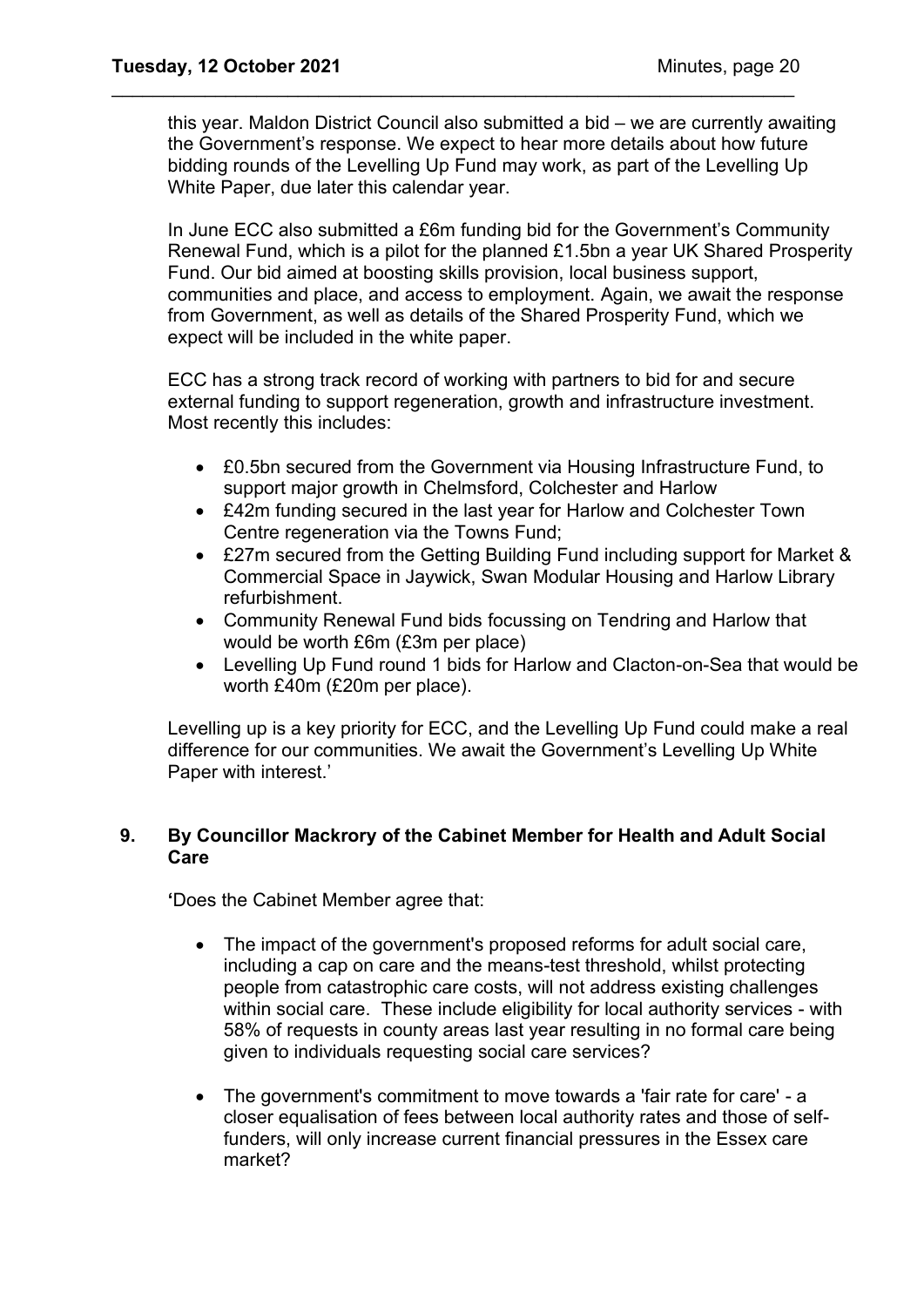this year. Maldon District Council also submitted a bid – we are currently awaiting the Government's response. We expect to hear more details about how future bidding rounds of the Levelling Up Fund may work, as part of the Levelling Up White Paper, due later this calendar year.

\_\_\_\_\_\_\_\_\_\_\_\_\_\_\_\_\_\_\_\_\_\_\_\_\_\_\_\_\_\_\_\_\_\_\_\_\_\_\_\_\_\_\_\_\_\_\_\_\_\_\_\_\_\_\_\_\_\_\_\_\_\_\_\_\_\_

In June ECC also submitted a £6m funding bid for the Government's Community Renewal Fund, which is a pilot for the planned £1.5bn a year UK Shared Prosperity Fund. Our bid aimed at boosting skills provision, local business support, communities and place, and access to employment. Again, we await the response from Government, as well as details of the Shared Prosperity Fund, which we expect will be included in the white paper.

ECC has a strong track record of working with partners to bid for and secure external funding to support regeneration, growth and infrastructure investment. Most recently this includes:

- £0.5bn secured from the Government via Housing Infrastructure Fund, to support major growth in Chelmsford, Colchester and Harlow
- £42m funding secured in the last year for Harlow and Colchester Town Centre regeneration via the Towns Fund;
- £27m secured from the Getting Building Fund including support for Market & Commercial Space in Jaywick, Swan Modular Housing and Harlow Library refurbishment.
- Community Renewal Fund bids focussing on Tendring and Harlow that would be worth £6m (£3m per place)
- Levelling Up Fund round 1 bids for Harlow and Clacton-on-Sea that would be worth £40m (£20m per place).

Levelling up is a key priority for ECC, and the Levelling Up Fund could make a real difference for our communities. We await the Government's Levelling Up White Paper with interest.'

## **9. By Councillor Mackrory of the Cabinet Member for Health and Adult Social Care**

**'**Does the Cabinet Member agree that:

- The impact of the government's proposed reforms for adult social care, including a cap on care and the means-test threshold, whilst protecting people from catastrophic care costs, will not address existing challenges within social care. These include eligibility for local authority services - with 58% of requests in county areas last year resulting in no formal care being given to individuals requesting social care services?
- The government's commitment to move towards a 'fair rate for care' a closer equalisation of fees between local authority rates and those of selffunders, will only increase current financial pressures in the Essex care market?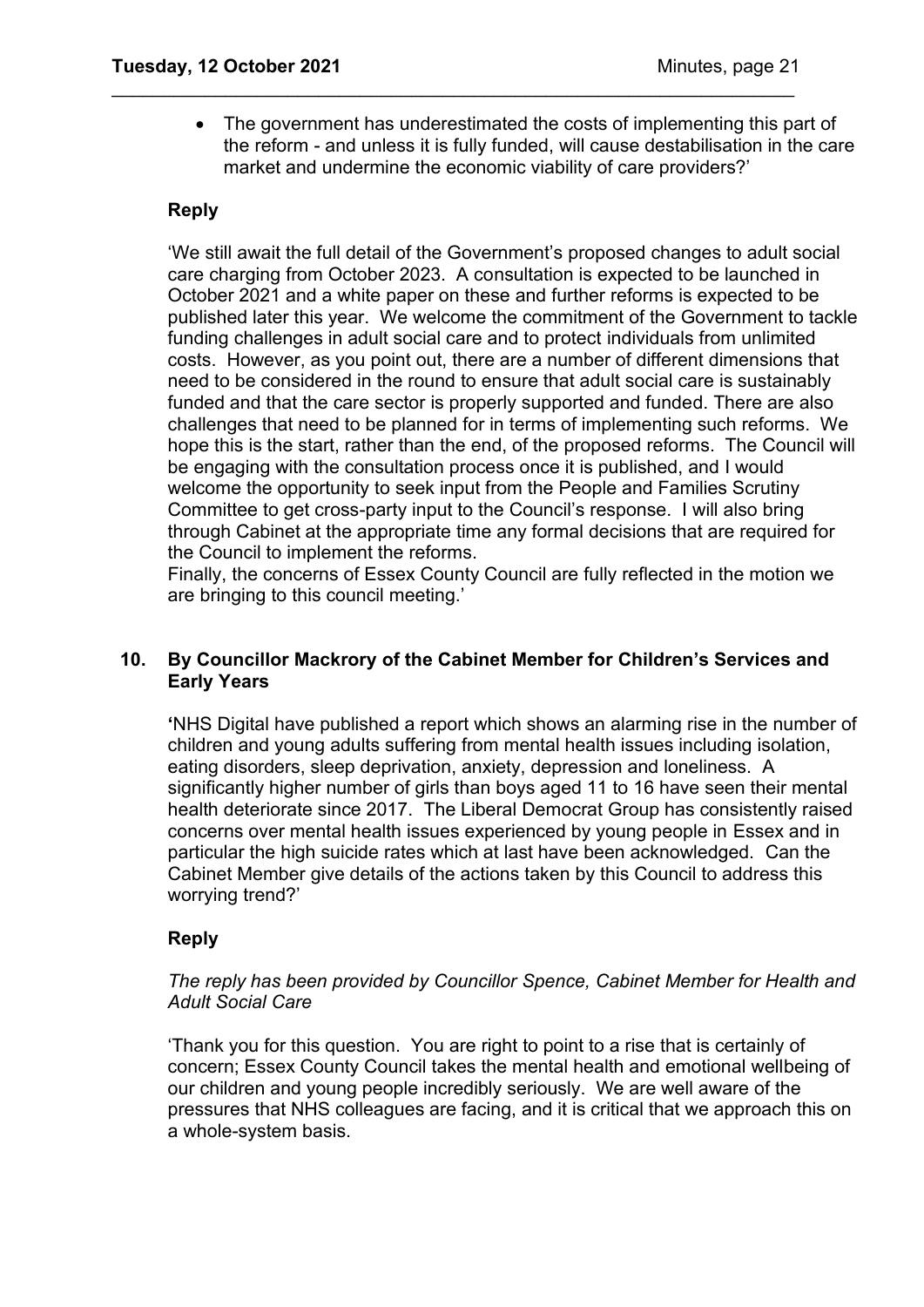• The government has underestimated the costs of implementing this part of the reform - and unless it is fully funded, will cause destabilisation in the care market and undermine the economic viability of care providers?'

\_\_\_\_\_\_\_\_\_\_\_\_\_\_\_\_\_\_\_\_\_\_\_\_\_\_\_\_\_\_\_\_\_\_\_\_\_\_\_\_\_\_\_\_\_\_\_\_\_\_\_\_\_\_\_\_\_\_\_\_\_\_\_\_\_\_

## **Reply**

'We still await the full detail of the Government's proposed changes to adult social care charging from October 2023. A consultation is expected to be launched in October 2021 and a white paper on these and further reforms is expected to be published later this year. We welcome the commitment of the Government to tackle funding challenges in adult social care and to protect individuals from unlimited costs. However, as you point out, there are a number of different dimensions that need to be considered in the round to ensure that adult social care is sustainably funded and that the care sector is properly supported and funded. There are also challenges that need to be planned for in terms of implementing such reforms. We hope this is the start, rather than the end, of the proposed reforms. The Council will be engaging with the consultation process once it is published, and I would welcome the opportunity to seek input from the People and Families Scrutiny Committee to get cross-party input to the Council's response. I will also bring through Cabinet at the appropriate time any formal decisions that are required for the Council to implement the reforms.

Finally, the concerns of Essex County Council are fully reflected in the motion we are bringing to this council meeting.'

## **10. By Councillor Mackrory of the Cabinet Member for Children's Services and Early Years**

**'**NHS Digital have published a report which shows an alarming rise in the number of children and young adults suffering from mental health issues including isolation, eating disorders, sleep deprivation, anxiety, depression and loneliness. A significantly higher number of girls than boys aged 11 to 16 have seen their mental health deteriorate since 2017. The Liberal Democrat Group has consistently raised concerns over mental health issues experienced by young people in Essex and in particular the high suicide rates which at last have been acknowledged. Can the Cabinet Member give details of the actions taken by this Council to address this worrying trend?'

## **Reply**

## *The reply has been provided by Councillor Spence, Cabinet Member for Health and Adult Social Care*

'Thank you for this question. You are right to point to a rise that is certainly of concern; Essex County Council takes the mental health and emotional wellbeing of our children and young people incredibly seriously. We are well aware of the pressures that NHS colleagues are facing, and it is critical that we approach this on a whole-system basis.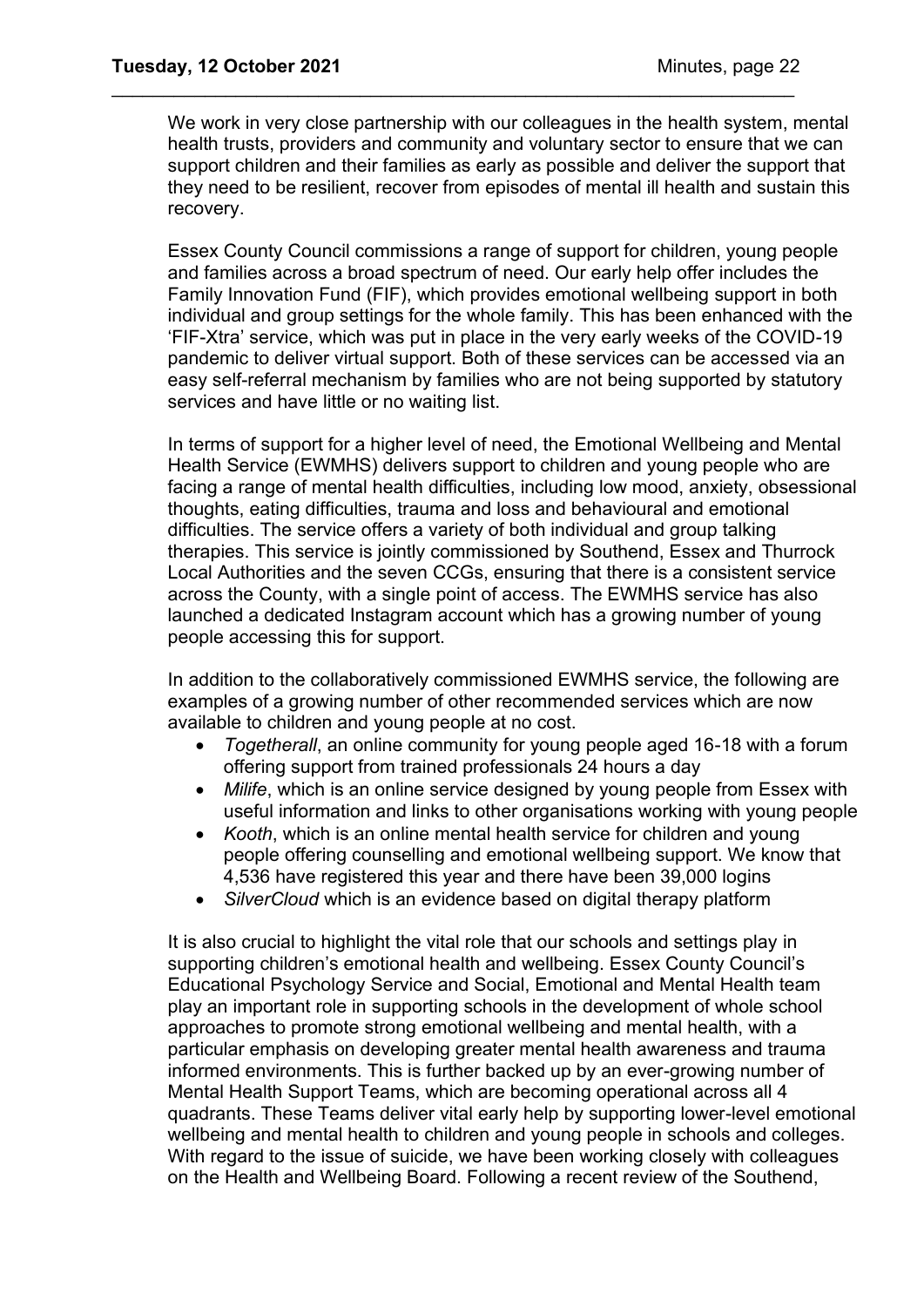We work in very close partnership with our colleagues in the health system, mental health trusts, providers and community and voluntary sector to ensure that we can support children and their families as early as possible and deliver the support that they need to be resilient, recover from episodes of mental ill health and sustain this recovery.

\_\_\_\_\_\_\_\_\_\_\_\_\_\_\_\_\_\_\_\_\_\_\_\_\_\_\_\_\_\_\_\_\_\_\_\_\_\_\_\_\_\_\_\_\_\_\_\_\_\_\_\_\_\_\_\_\_\_\_\_\_\_\_\_\_\_

Essex County Council commissions a range of support for children, young people and families across a broad spectrum of need. Our early help offer includes the Family Innovation Fund (FIF), which provides emotional wellbeing support in both individual and group settings for the whole family. This has been enhanced with the 'FIF-Xtra' service, which was put in place in the very early weeks of the COVID-19 pandemic to deliver virtual support. Both of these services can be accessed via an easy self-referral mechanism by families who are not being supported by statutory services and have little or no waiting list.

In terms of support for a higher level of need, the Emotional Wellbeing and Mental Health Service (EWMHS) delivers support to children and young people who are facing a range of mental health difficulties, including low mood, anxiety, obsessional thoughts, eating difficulties, trauma and loss and behavioural and emotional difficulties. The service offers a variety of both individual and group talking therapies. This service is jointly commissioned by Southend, Essex and Thurrock Local Authorities and the seven CCGs, ensuring that there is a consistent service across the County, with a single point of access. The EWMHS service has also launched a dedicated Instagram account which has a growing number of young people accessing this for support.

In addition to the collaboratively commissioned EWMHS service, the following are examples of a growing number of other recommended services which are now available to children and young people at no cost.

- *Togetherall*, an online community for young people aged 16-18 with a forum offering support from trained professionals 24 hours a day
- *Milife*, which is an online service designed by young people from Essex with useful information and links to other organisations working with young people
- *Kooth*, which is an online mental health service for children and young people offering counselling and emotional wellbeing support. We know that 4,536 have registered this year and there have been 39,000 logins
- *SilverCloud* which is an evidence based on digital therapy platform

It is also crucial to highlight the vital role that our schools and settings play in supporting children's emotional health and wellbeing. Essex County Council's Educational Psychology Service and Social, Emotional and Mental Health team play an important role in supporting schools in the development of whole school approaches to promote strong emotional wellbeing and mental health, with a particular emphasis on developing greater mental health awareness and trauma informed environments. This is further backed up by an ever-growing number of Mental Health Support Teams, which are becoming operational across all 4 quadrants. These Teams deliver vital early help by supporting lower-level emotional wellbeing and mental health to children and young people in schools and colleges. With regard to the issue of suicide, we have been working closely with colleagues on the Health and Wellbeing Board. Following a recent review of the Southend,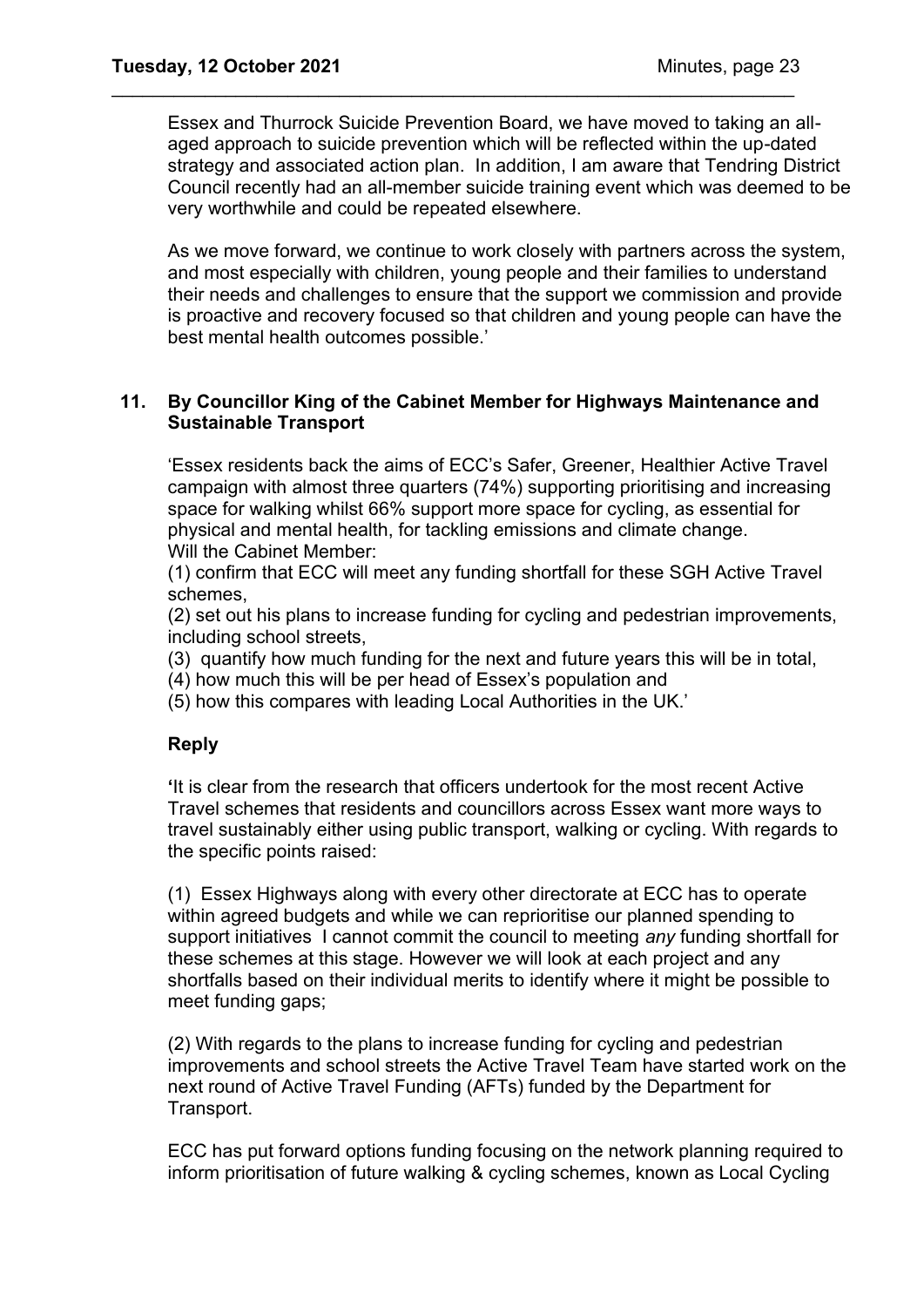Essex and Thurrock Suicide Prevention Board, we have moved to taking an allaged approach to suicide prevention which will be reflected within the up-dated strategy and associated action plan. In addition, I am aware that Tendring District Council recently had an all-member suicide training event which was deemed to be very worthwhile and could be repeated elsewhere.

\_\_\_\_\_\_\_\_\_\_\_\_\_\_\_\_\_\_\_\_\_\_\_\_\_\_\_\_\_\_\_\_\_\_\_\_\_\_\_\_\_\_\_\_\_\_\_\_\_\_\_\_\_\_\_\_\_\_\_\_\_\_\_\_\_\_

As we move forward, we continue to work closely with partners across the system, and most especially with children, young people and their families to understand their needs and challenges to ensure that the support we commission and provide is proactive and recovery focused so that children and young people can have the best mental health outcomes possible.'

## **11. By Councillor King of the Cabinet Member for Highways Maintenance and Sustainable Transport**

'Essex residents back the aims of ECC's Safer, Greener, Healthier Active Travel campaign with almost three quarters (74%) supporting prioritising and increasing space for walking whilst 66% support more space for cycling, as essential for physical and mental health, for tackling emissions and climate change. Will the Cabinet Member:

(1) confirm that ECC will meet any funding shortfall for these SGH Active Travel schemes,

(2) set out his plans to increase funding for cycling and pedestrian improvements, including school streets,

- (3) quantify how much funding for the next and future years this will be in total,
- (4) how much this will be per head of Essex's population and
- (5) how this compares with leading Local Authorities in the UK.'

## **Reply**

**'**It is clear from the research that officers undertook for the most recent Active Travel schemes that residents and councillors across Essex want more ways to travel sustainably either using public transport, walking or cycling. With regards to the specific points raised:

(1) Essex Highways along with every other directorate at ECC has to operate within agreed budgets and while we can reprioritise our planned spending to support initiatives I cannot commit the council to meeting *any* funding shortfall for these schemes at this stage. However we will look at each project and any shortfalls based on their individual merits to identify where it might be possible to meet funding gaps;

(2) With regards to the plans to increase funding for cycling and pedestrian improvements and school streets the Active Travel Team have started work on the next round of Active Travel Funding (AFTs) funded by the Department for Transport.

ECC has put forward options funding focusing on the network planning required to inform prioritisation of future walking & cycling schemes, known as Local Cycling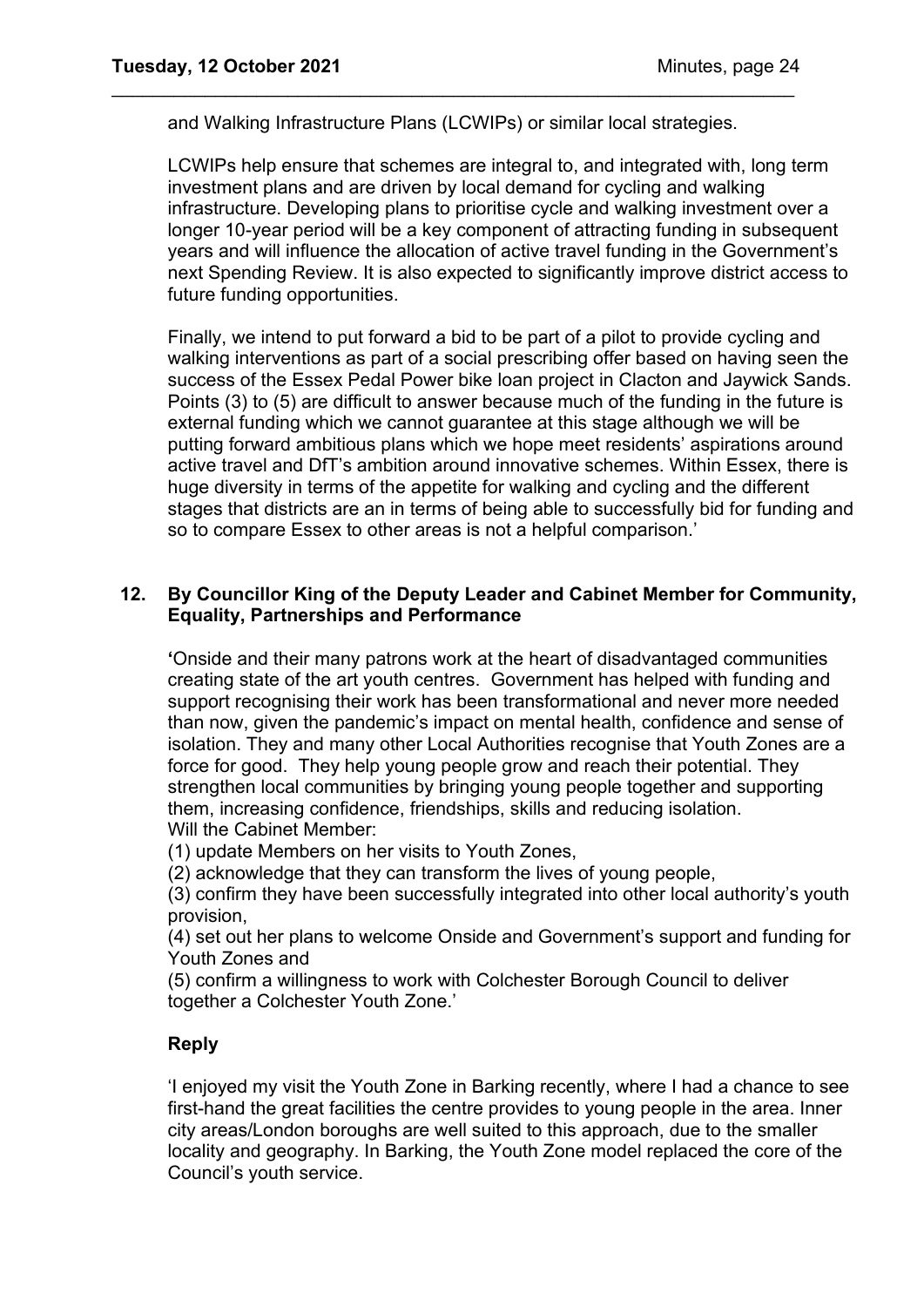and Walking Infrastructure Plans (LCWIPs) or similar local strategies.

\_\_\_\_\_\_\_\_\_\_\_\_\_\_\_\_\_\_\_\_\_\_\_\_\_\_\_\_\_\_\_\_\_\_\_\_\_\_\_\_\_\_\_\_\_\_\_\_\_\_\_\_\_\_\_\_\_\_\_\_\_\_\_\_\_\_

LCWIPs help ensure that schemes are integral to, and integrated with, long term investment plans and are driven by local demand for cycling and walking infrastructure. Developing plans to prioritise cycle and walking investment over a longer 10-year period will be a key component of attracting funding in subsequent years and will influence the allocation of active travel funding in the Government's next Spending Review. It is also expected to significantly improve district access to future funding opportunities.

Finally, we intend to put forward a bid to be part of a pilot to provide cycling and walking interventions as part of a social prescribing offer based on having seen the success of the Essex Pedal Power bike loan project in Clacton and Jaywick Sands. Points (3) to (5) are difficult to answer because much of the funding in the future is external funding which we cannot guarantee at this stage although we will be putting forward ambitious plans which we hope meet residents' aspirations around active travel and DfT's ambition around innovative schemes. Within Essex, there is huge diversity in terms of the appetite for walking and cycling and the different stages that districts are an in terms of being able to successfully bid for funding and so to compare Essex to other areas is not a helpful comparison.'

## **12. By Councillor King of the Deputy Leader and Cabinet Member for Community, Equality, Partnerships and Performance**

**'**Onside and their many patrons work at the heart of disadvantaged communities creating state of the art youth centres. Government has helped with funding and support recognising their work has been transformational and never more needed than now, given the pandemic's impact on mental health, confidence and sense of isolation. They and many other Local Authorities recognise that Youth Zones are a force for good. They help young people grow and reach their potential. They strengthen local communities by bringing young people together and supporting them, increasing confidence, friendships, skills and reducing isolation. Will the Cabinet Member:

(1) update Members on her visits to Youth Zones,

(2) acknowledge that they can transform the lives of young people,

(3) confirm they have been successfully integrated into other local authority's youth provision,

(4) set out her plans to welcome Onside and Government's support and funding for Youth Zones and

(5) confirm a willingness to work with Colchester Borough Council to deliver together a Colchester Youth Zone.'

## **Reply**

'I enjoyed my visit the Youth Zone in Barking recently, where I had a chance to see first-hand the great facilities the centre provides to young people in the area. Inner city areas/London boroughs are well suited to this approach, due to the smaller locality and geography. In Barking, the Youth Zone model replaced the core of the Council's youth service.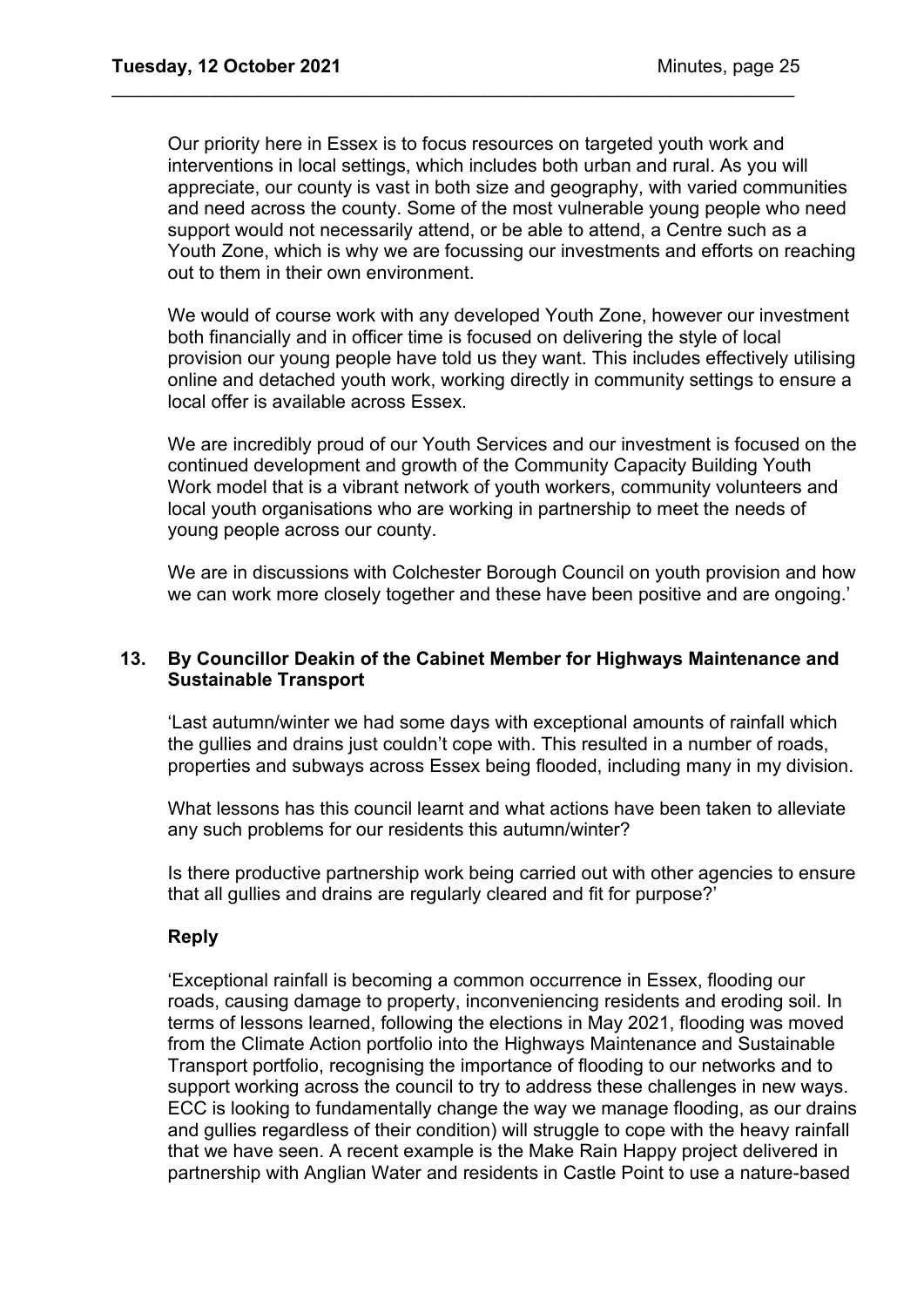Our priority here in Essex is to focus resources on targeted youth work and interventions in local settings, which includes both urban and rural. As you will appreciate, our county is vast in both size and geography, with varied communities and need across the county. Some of the most vulnerable young people who need support would not necessarily attend, or be able to attend, a Centre such as a Youth Zone, which is why we are focussing our investments and efforts on reaching out to them in their own environment.

\_\_\_\_\_\_\_\_\_\_\_\_\_\_\_\_\_\_\_\_\_\_\_\_\_\_\_\_\_\_\_\_\_\_\_\_\_\_\_\_\_\_\_\_\_\_\_\_\_\_\_\_\_\_\_\_\_\_\_\_\_\_\_\_\_\_

We would of course work with any developed Youth Zone, however our investment both financially and in officer time is focused on delivering the style of local provision our young people have told us they want. This includes effectively utilising online and detached youth work, working directly in community settings to ensure a local offer is available across Essex.

We are incredibly proud of our Youth Services and our investment is focused on the continued development and growth of the Community Capacity Building Youth Work model that is a vibrant network of youth workers, community volunteers and local youth organisations who are working in partnership to meet the needs of young people across our county.

We are in discussions with Colchester Borough Council on youth provision and how we can work more closely together and these have been positive and are ongoing.'

## **13. By Councillor Deakin of the Cabinet Member for Highways Maintenance and Sustainable Transport**

'Last autumn/winter we had some days with exceptional amounts of rainfall which the gullies and drains just couldn't cope with. This resulted in a number of roads, properties and subways across Essex being flooded, including many in my division.

What lessons has this council learnt and what actions have been taken to alleviate any such problems for our residents this autumn/winter?

Is there productive partnership work being carried out with other agencies to ensure that all gullies and drains are regularly cleared and fit for purpose?'

## **Reply**

'Exceptional rainfall is becoming a common occurrence in Essex, flooding our roads, causing damage to property, inconveniencing residents and eroding soil. In terms of lessons learned, following the elections in May 2021, flooding was moved from the Climate Action portfolio into the Highways Maintenance and Sustainable Transport portfolio, recognising the importance of flooding to our networks and to support working across the council to try to address these challenges in new ways. ECC is looking to fundamentally change the way we manage flooding, as our drains and gullies regardless of their condition) will struggle to cope with the heavy rainfall that we have seen. A recent example is the Make Rain Happy project delivered in partnership with Anglian Water and residents in Castle Point to use a nature-based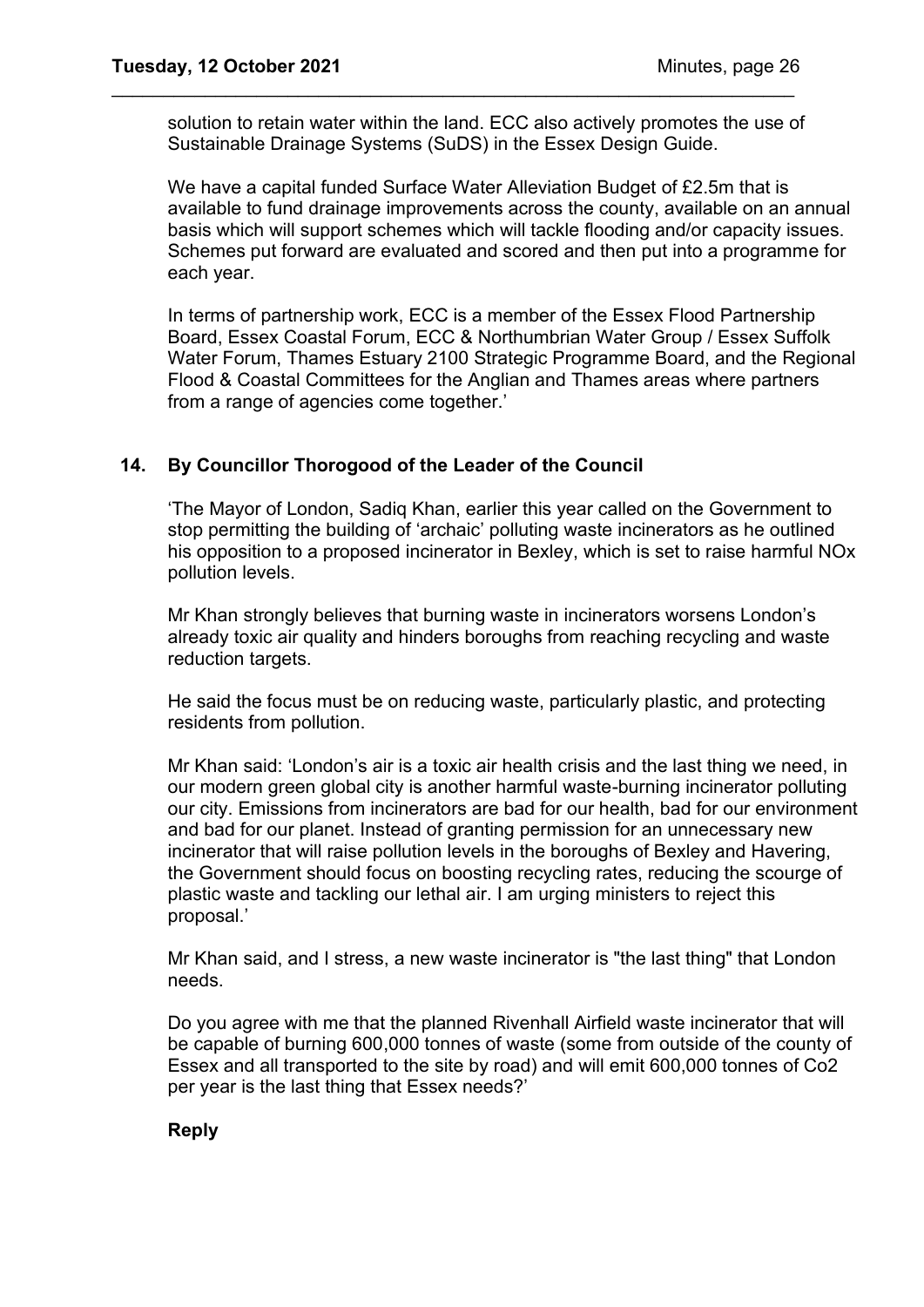solution to retain water within the land. ECC also actively promotes the use of Sustainable Drainage Systems (SuDS) in the Essex Design Guide.

\_\_\_\_\_\_\_\_\_\_\_\_\_\_\_\_\_\_\_\_\_\_\_\_\_\_\_\_\_\_\_\_\_\_\_\_\_\_\_\_\_\_\_\_\_\_\_\_\_\_\_\_\_\_\_\_\_\_\_\_\_\_\_\_\_\_

We have a capital funded Surface Water Alleviation Budget of £2.5m that is available to fund drainage improvements across the county, available on an annual basis which will support schemes which will tackle flooding and/or capacity issues. Schemes put forward are evaluated and scored and then put into a programme for each year.

In terms of partnership work, ECC is a member of the Essex Flood Partnership Board, Essex Coastal Forum, ECC & Northumbrian Water Group / Essex Suffolk Water Forum, Thames Estuary 2100 Strategic Programme Board, and the Regional Flood & Coastal Committees for the Anglian and Thames areas where partners from a range of agencies come together.'

## **14. By Councillor Thorogood of the Leader of the Council**

'The Mayor of London, Sadiq Khan, earlier this year called on the Government to stop permitting the building of 'archaic' polluting waste incinerators as he outlined his opposition to a proposed incinerator in Bexley, which is set to raise harmful NOx pollution levels.

Mr Khan strongly believes that burning waste in incinerators worsens London's already toxic air quality and hinders boroughs from reaching recycling and waste reduction targets.

He said the focus must be on reducing waste, particularly plastic, and protecting residents from pollution.

Mr Khan said: 'London's air is a toxic air health crisis and the last thing we need, in our modern green global city is another harmful waste-burning incinerator polluting our city. Emissions from incinerators are bad for our health, bad for our environment and bad for our planet. Instead of granting permission for an unnecessary new incinerator that will raise pollution levels in the boroughs of Bexley and Havering, the Government should focus on boosting recycling rates, reducing the scourge of plastic waste and tackling our lethal air. I am urging ministers to reject this proposal.'

Mr Khan said, and I stress, a new waste incinerator is "the last thing" that London needs.

Do you agree with me that the planned Rivenhall Airfield waste incinerator that will be capable of burning 600,000 tonnes of waste (some from outside of the county of Essex and all transported to the site by road) and will emit 600,000 tonnes of Co2 per year is the last thing that Essex needs?'

## **Reply**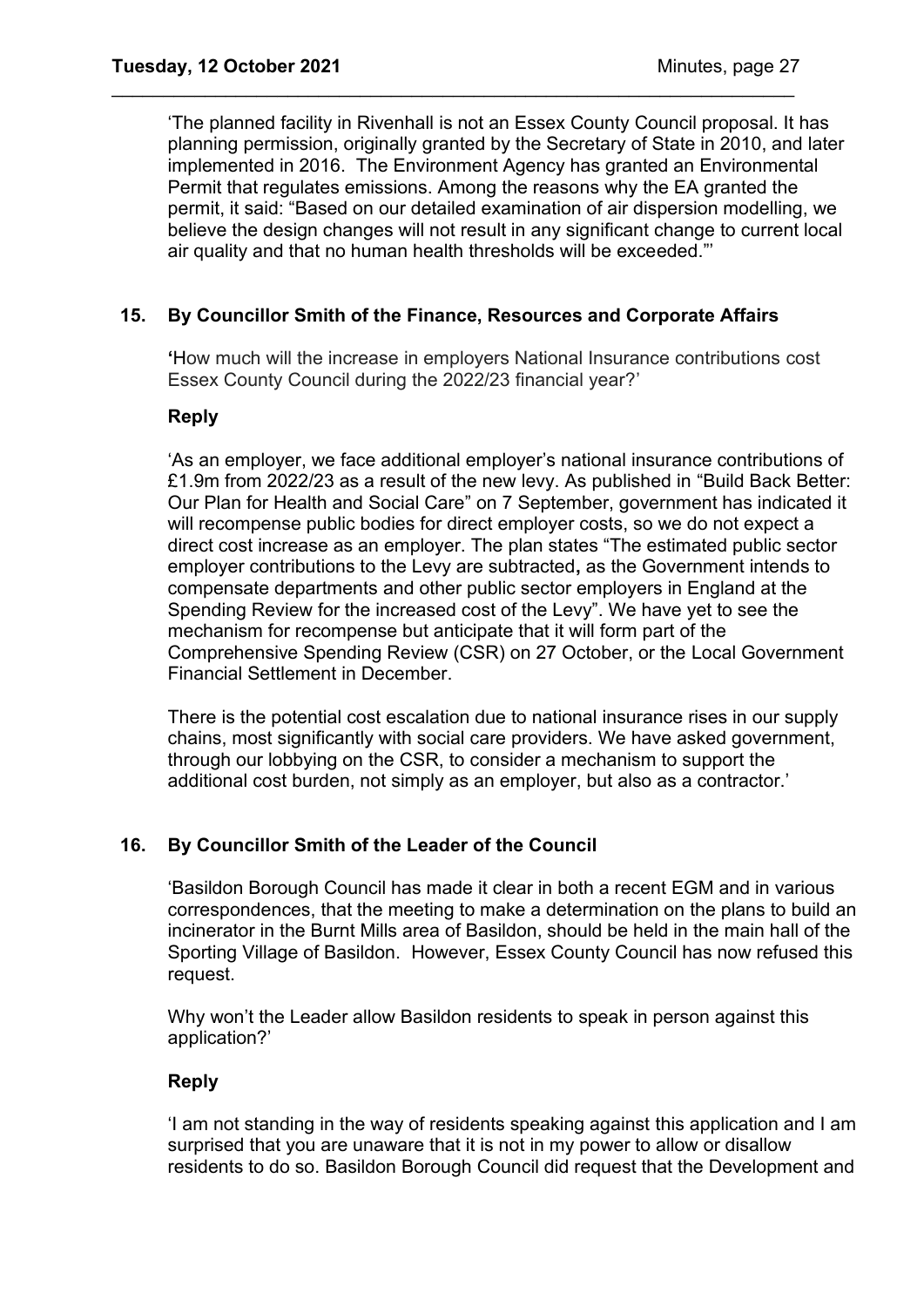'The planned facility in Rivenhall is not an Essex County Council proposal. It has planning permission, originally granted by the Secretary of State in 2010, and later implemented in 2016. The Environment Agency has granted an Environmental Permit that regulates emissions. Among the reasons why the EA granted the permit, it said: "Based on our detailed examination of air dispersion modelling, we believe the design changes will not result in any significant change to current local air quality and that no human health thresholds will be exceeded."'

## **15. By Councillor Smith of the Finance, Resources and Corporate Affairs**

\_\_\_\_\_\_\_\_\_\_\_\_\_\_\_\_\_\_\_\_\_\_\_\_\_\_\_\_\_\_\_\_\_\_\_\_\_\_\_\_\_\_\_\_\_\_\_\_\_\_\_\_\_\_\_\_\_\_\_\_\_\_\_\_\_\_

**'**How much will the increase in employers National Insurance contributions cost Essex County Council during the 2022/23 financial year?'

## **Reply**

'As an employer, we face additional employer's national insurance contributions of £1.9m from 2022/23 as a result of the new levy. As published in "Build Back Better: Our Plan for Health and Social Care" on 7 September, government has indicated it will recompense public bodies for direct employer costs, so we do not expect a direct cost increase as an employer. The plan states "The estimated public sector employer contributions to the Levy are subtracted**,** as the Government intends to compensate departments and other public sector employers in England at the Spending Review for the increased cost of the Levy". We have yet to see the mechanism for recompense but anticipate that it will form part of the Comprehensive Spending Review (CSR) on 27 October, or the Local Government Financial Settlement in December.

There is the potential cost escalation due to national insurance rises in our supply chains, most significantly with social care providers. We have asked government, through our lobbying on the CSR, to consider a mechanism to support the additional cost burden, not simply as an employer, but also as a contractor.'

## **16. By Councillor Smith of the Leader of the Council**

'Basildon Borough Council has made it clear in both a recent EGM and in various correspondences, that the meeting to make a determination on the plans to build an incinerator in the Burnt Mills area of Basildon, should be held in the main hall of the Sporting Village of Basildon. However, Essex County Council has now refused this request.

Why won't the Leader allow Basildon residents to speak in person against this application?'

## **Reply**

'I am not standing in the way of residents speaking against this application and I am surprised that you are unaware that it is not in my power to allow or disallow residents to do so. Basildon Borough Council did request that the Development and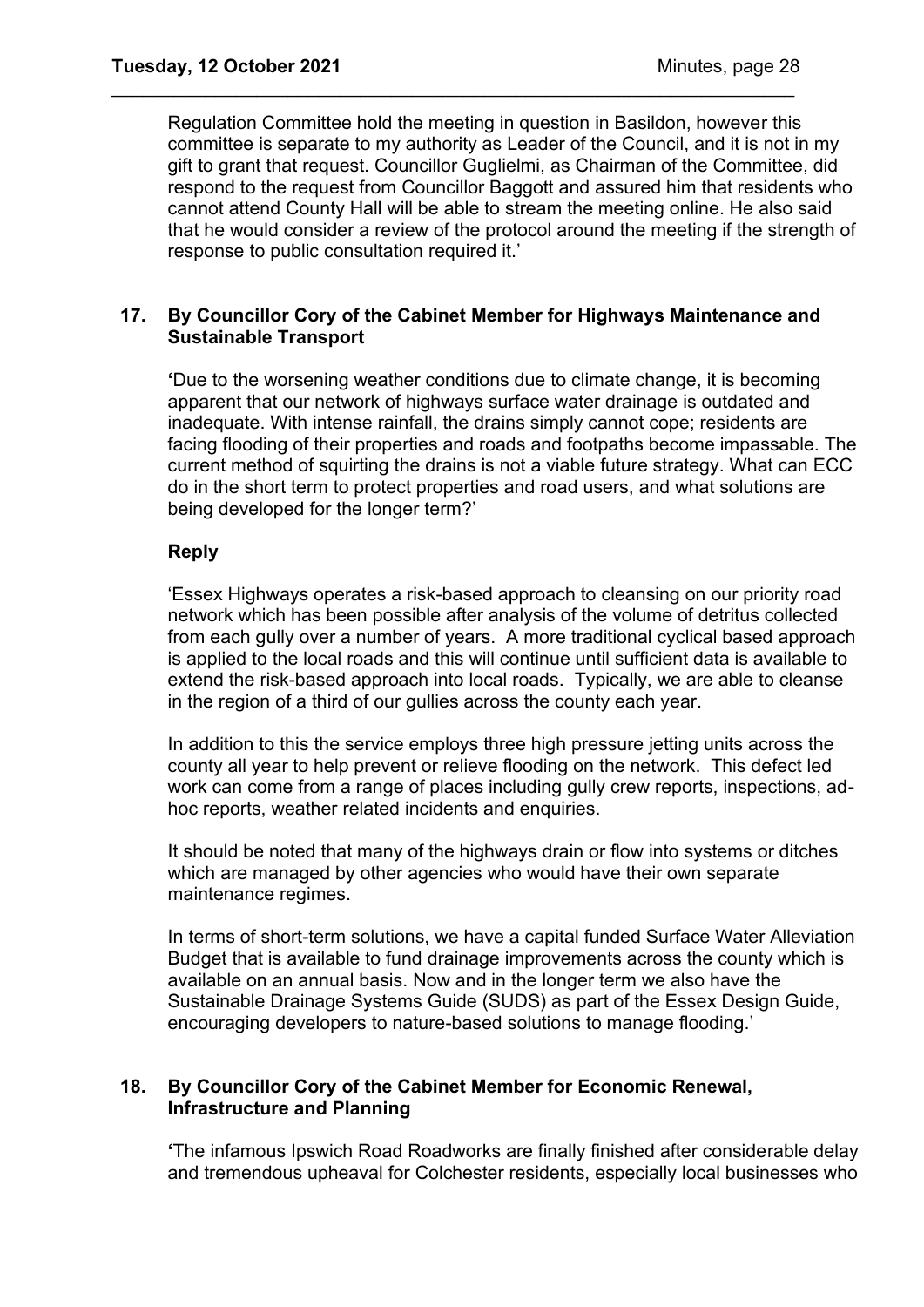Regulation Committee hold the meeting in question in Basildon, however this committee is separate to my authority as Leader of the Council, and it is not in my gift to grant that request. Councillor Guglielmi, as Chairman of the Committee, did respond to the request from Councillor Baggott and assured him that residents who cannot attend County Hall will be able to stream the meeting online. He also said that he would consider a review of the protocol around the meeting if the strength of response to public consultation required it.'

## **17. By Councillor Cory of the Cabinet Member for Highways Maintenance and Sustainable Transport**

\_\_\_\_\_\_\_\_\_\_\_\_\_\_\_\_\_\_\_\_\_\_\_\_\_\_\_\_\_\_\_\_\_\_\_\_\_\_\_\_\_\_\_\_\_\_\_\_\_\_\_\_\_\_\_\_\_\_\_\_\_\_\_\_\_\_

**'**Due to the worsening weather conditions due to climate change, it is becoming apparent that our network of highways surface water drainage is outdated and inadequate. With intense rainfall, the drains simply cannot cope; residents are facing flooding of their properties and roads and footpaths become impassable. The current method of squirting the drains is not a viable future strategy. What can ECC do in the short term to protect properties and road users, and what solutions are being developed for the longer term?'

## **Reply**

'Essex Highways operates a risk-based approach to cleansing on our priority road network which has been possible after analysis of the volume of detritus collected from each gully over a number of years. A more traditional cyclical based approach is applied to the local roads and this will continue until sufficient data is available to extend the risk-based approach into local roads. Typically, we are able to cleanse in the region of a third of our gullies across the county each year.

In addition to this the service employs three high pressure jetting units across the county all year to help prevent or relieve flooding on the network. This defect led work can come from a range of places including gully crew reports, inspections, adhoc reports, weather related incidents and enquiries.

It should be noted that many of the highways drain or flow into systems or ditches which are managed by other agencies who would have their own separate maintenance regimes.

In terms of short-term solutions, we have a capital funded Surface Water Alleviation Budget that is available to fund drainage improvements across the county which is available on an annual basis. Now and in the longer term we also have the Sustainable Drainage Systems Guide (SUDS) as part of the Essex Design Guide, encouraging developers to nature-based solutions to manage flooding.'

## **18. By Councillor Cory of the Cabinet Member for Economic Renewal, Infrastructure and Planning**

**'**The infamous Ipswich Road Roadworks are finally finished after considerable delay and tremendous upheaval for Colchester residents, especially local businesses who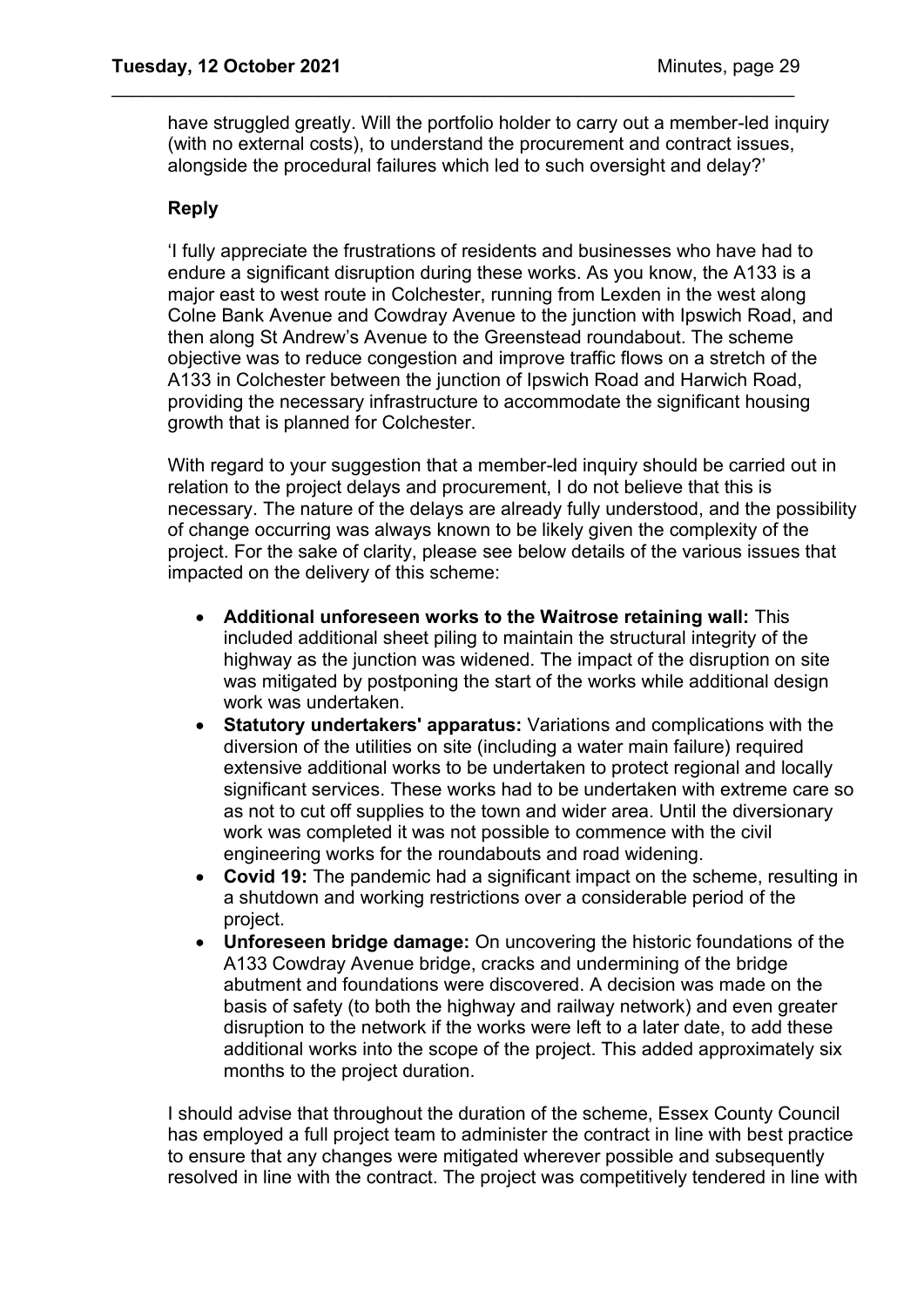have struggled greatly. Will the portfolio holder to carry out a member-led inquiry (with no external costs), to understand the procurement and contract issues, alongside the procedural failures which led to such oversight and delay?'

\_\_\_\_\_\_\_\_\_\_\_\_\_\_\_\_\_\_\_\_\_\_\_\_\_\_\_\_\_\_\_\_\_\_\_\_\_\_\_\_\_\_\_\_\_\_\_\_\_\_\_\_\_\_\_\_\_\_\_\_\_\_\_\_\_\_

## **Reply**

'I fully appreciate the frustrations of residents and businesses who have had to endure a significant disruption during these works. As you know, the A133 is a major east to west route in Colchester, running from Lexden in the west along Colne Bank Avenue and Cowdray Avenue to the junction with Ipswich Road, and then along St Andrew's Avenue to the Greenstead roundabout. The scheme objective was to reduce congestion and improve traffic flows on a stretch of the A133 in Colchester between the junction of Ipswich Road and Harwich Road, providing the necessary infrastructure to accommodate the significant housing growth that is planned for Colchester.

With regard to your suggestion that a member-led inquiry should be carried out in relation to the project delays and procurement, I do not believe that this is necessary. The nature of the delays are already fully understood, and the possibility of change occurring was always known to be likely given the complexity of the project. For the sake of clarity, please see below details of the various issues that impacted on the delivery of this scheme:

- **Additional unforeseen works to the Waitrose retaining wall:** This included additional sheet piling to maintain the structural integrity of the highway as the junction was widened. The impact of the disruption on site was mitigated by postponing the start of the works while additional design work was undertaken.
- **Statutory undertakers' apparatus:** Variations and complications with the diversion of the utilities on site (including a water main failure) required extensive additional works to be undertaken to protect regional and locally significant services. These works had to be undertaken with extreme care so as not to cut off supplies to the town and wider area. Until the diversionary work was completed it was not possible to commence with the civil engineering works for the roundabouts and road widening.
- **Covid 19:** The pandemic had a significant impact on the scheme, resulting in a shutdown and working restrictions over a considerable period of the project.
- **Unforeseen bridge damage:** On uncovering the historic foundations of the A133 Cowdray Avenue bridge, cracks and undermining of the bridge abutment and foundations were discovered. A decision was made on the basis of safety (to both the highway and railway network) and even greater disruption to the network if the works were left to a later date, to add these additional works into the scope of the project. This added approximately six months to the project duration.

I should advise that throughout the duration of the scheme, Essex County Council has employed a full project team to administer the contract in line with best practice to ensure that any changes were mitigated wherever possible and subsequently resolved in line with the contract. The project was competitively tendered in line with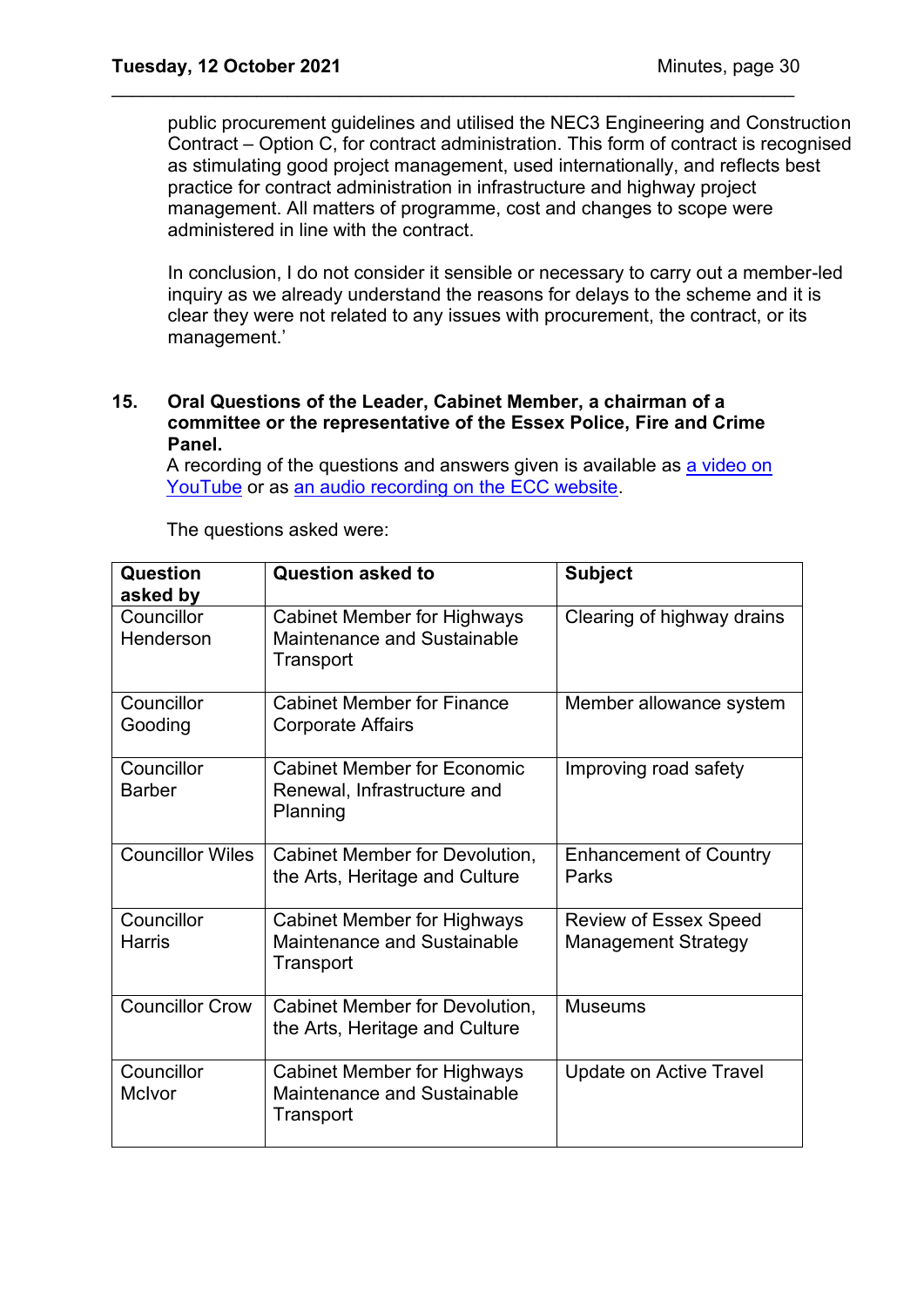public procurement guidelines and utilised the NEC3 Engineering and Construction Contract – Option C, for contract administration. This form of contract is recognised as stimulating good project management, used internationally, and reflects best practice for contract administration in infrastructure and highway project management. All matters of programme, cost and changes to scope were administered in line with the contract.

\_\_\_\_\_\_\_\_\_\_\_\_\_\_\_\_\_\_\_\_\_\_\_\_\_\_\_\_\_\_\_\_\_\_\_\_\_\_\_\_\_\_\_\_\_\_\_\_\_\_\_\_\_\_\_\_\_\_\_\_\_\_\_\_\_\_

In conclusion, I do not consider it sensible or necessary to carry out a member-led inquiry as we already understand the reasons for delays to the scheme and it is clear they were not related to any issues with procurement, the contract, or its management.'

#### **15. Oral Questions of the Leader, Cabinet Member, a chairman of a committee or the representative of the Essex Police, Fire and Crime Panel.**

A recording of the questions and answers given is available as a video on [YouTube](https://www.youtube.com/watch?v=2XA6YcdZT_E) or as [an audio recording on the ECC website.](https://cmis.essex.gov.uk/essexcmis5/CalendarofMeetings/tabid/73/ctl/ViewMeetingPublic/mid/410/Meeting/4414/Committee/50/Default.aspx)

| Question<br>asked by        | <b>Question asked to</b>                                                       | <b>Subject</b>                                             |
|-----------------------------|--------------------------------------------------------------------------------|------------------------------------------------------------|
| Councillor<br>Henderson     | <b>Cabinet Member for Highways</b><br>Maintenance and Sustainable<br>Transport | Clearing of highway drains                                 |
| Councillor<br>Gooding       | <b>Cabinet Member for Finance</b><br><b>Corporate Affairs</b>                  | Member allowance system                                    |
| Councillor<br><b>Barber</b> | <b>Cabinet Member for Economic</b><br>Renewal, Infrastructure and<br>Planning  | Improving road safety                                      |
| <b>Councillor Wiles</b>     | Cabinet Member for Devolution,<br>the Arts, Heritage and Culture               | <b>Enhancement of Country</b><br>Parks                     |
| Councillor<br><b>Harris</b> | <b>Cabinet Member for Highways</b><br>Maintenance and Sustainable<br>Transport | <b>Review of Essex Speed</b><br><b>Management Strategy</b> |
| <b>Councillor Crow</b>      | Cabinet Member for Devolution,<br>the Arts, Heritage and Culture               | <b>Museums</b>                                             |
| Councillor<br>McIvor        | <b>Cabinet Member for Highways</b><br>Maintenance and Sustainable<br>Transport | Update on Active Travel                                    |

The questions asked were: